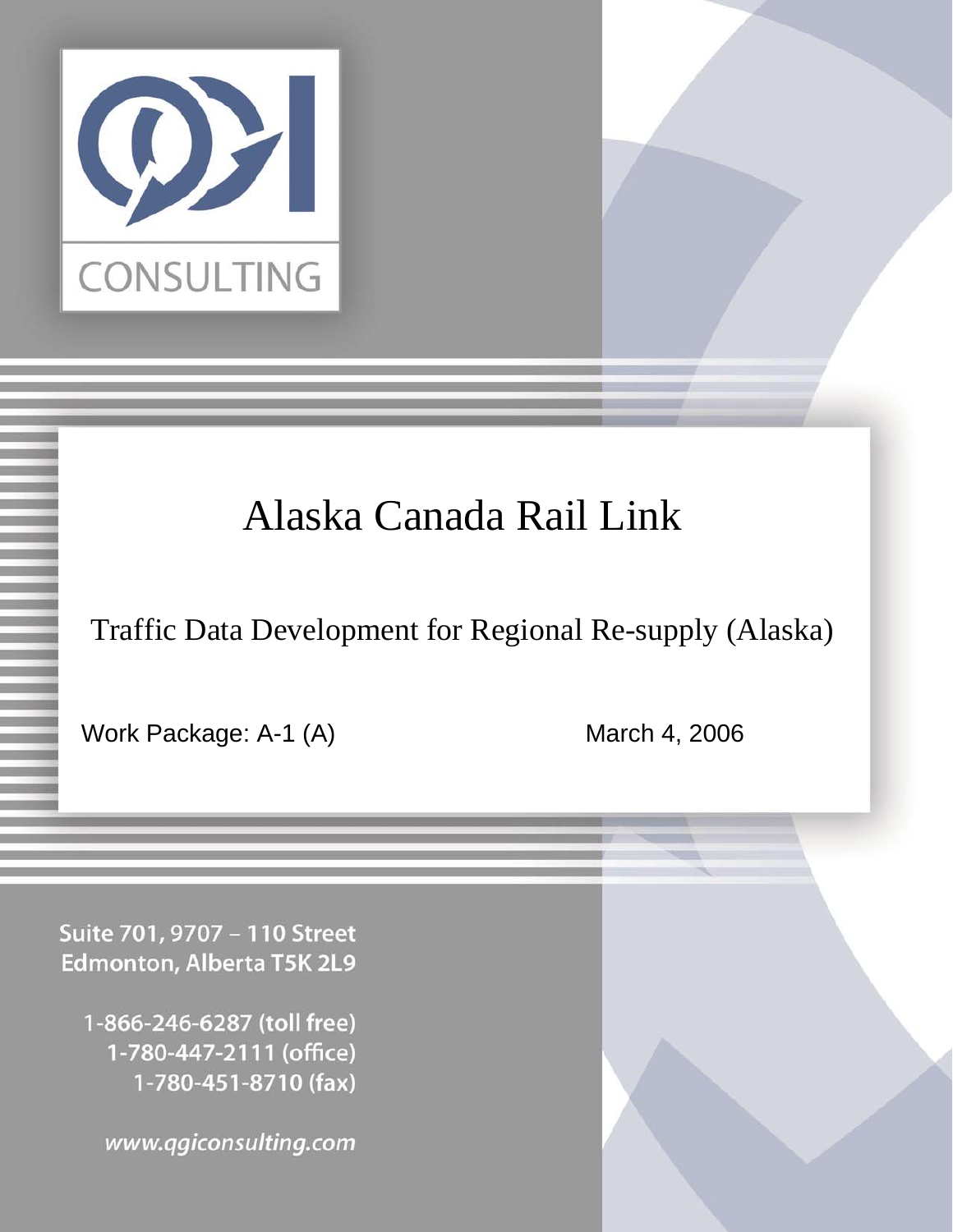

# Alaska Canada Rail Link

Traffic Data Development for Regional Re-supply (Alaska)

Work Package: A-1 (A) March 4, 2006

Suite 701, 9707 - 110 Street **Edmonton, Alberta T5K 2L9** 

1-866-246-6287 (toll free) 1-780-447-2111 (office) 1-780-451-8710 (fax)

www.qgiconsulting.com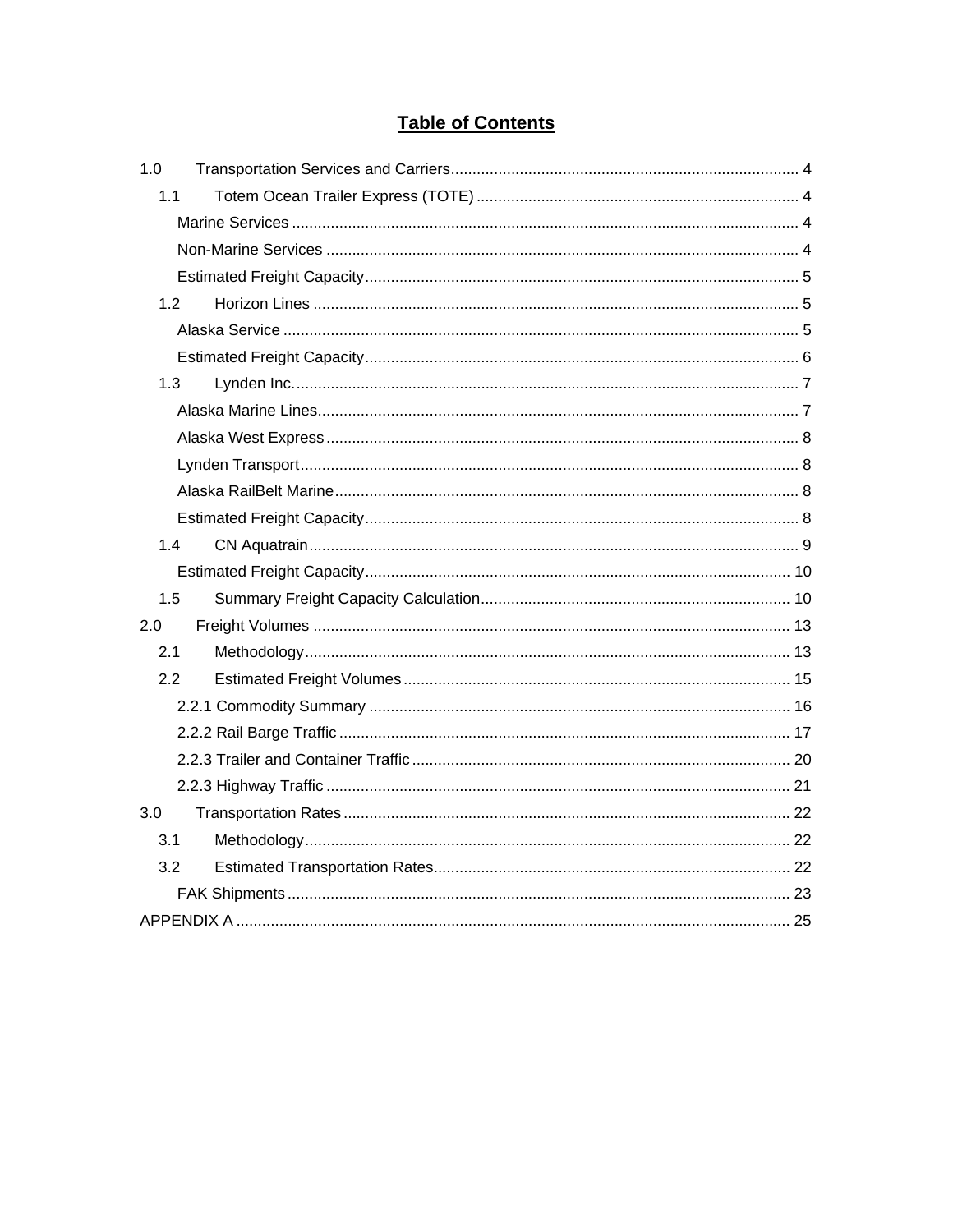# **Table of Contents**

| 1.0 |
|-----|
| 1.1 |
|     |
|     |
|     |
| 1.2 |
|     |
|     |
| 1.3 |
|     |
|     |
|     |
|     |
|     |
| 1.4 |
|     |
| 1.5 |
| 2.0 |
| 2.1 |
| 2.2 |
|     |
|     |
|     |
|     |
| 3.0 |
| 3.1 |
| 3.2 |
|     |
|     |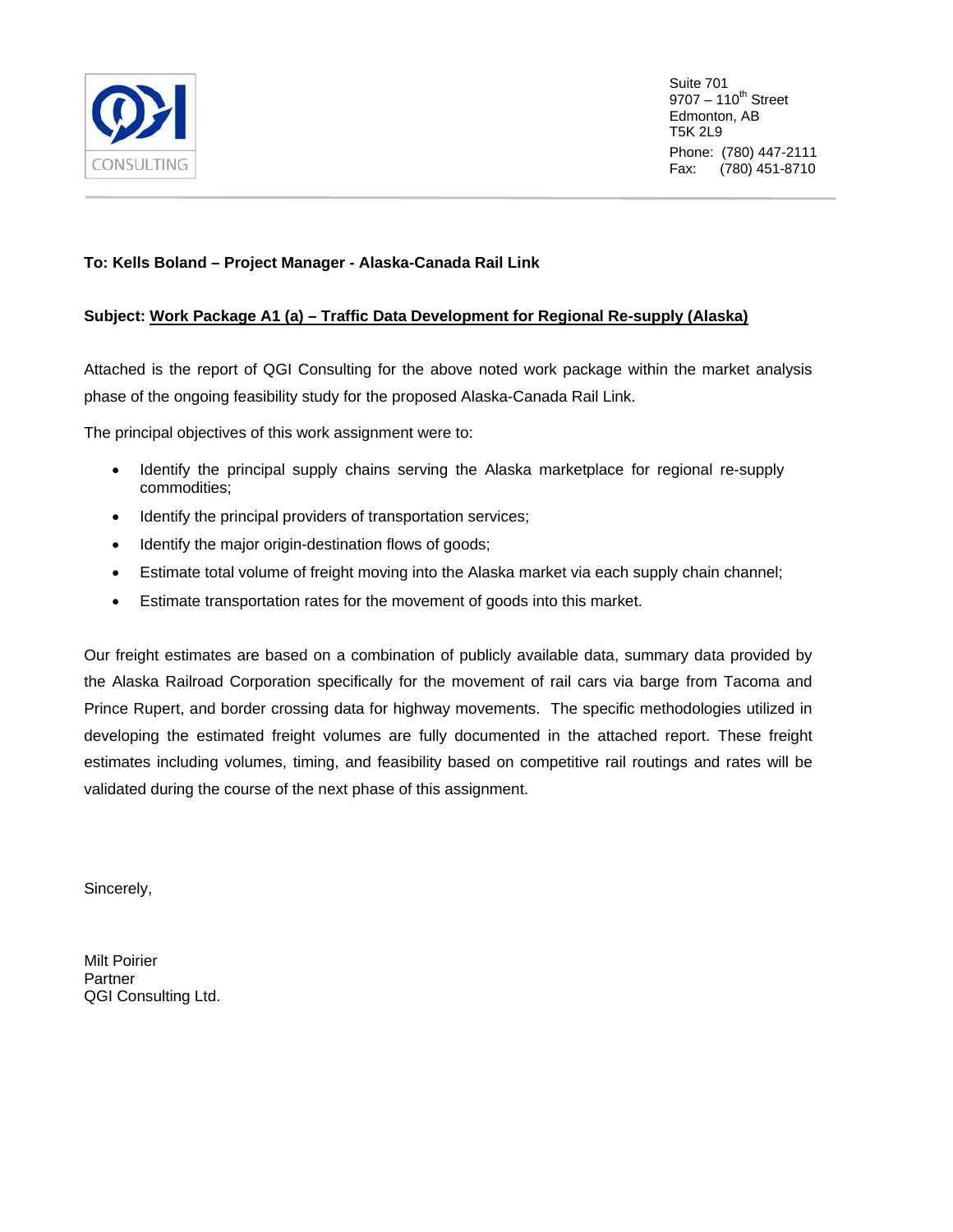

Suite 701  $9707 - 110^{th}$  Street Edmonton, AB T5K 2L9 Phone: (780) 447-2111 Fax: (780) 451-8710

## **To: Kells Boland – Project Manager - Alaska-Canada Rail Link**

## **Subject: Work Package A1 (a) – Traffic Data Development for Regional Re-supply (Alaska)**

Attached is the report of QGI Consulting for the above noted work package within the market analysis phase of the ongoing feasibility study for the proposed Alaska-Canada Rail Link.

The principal objectives of this work assignment were to:

- Identify the principal supply chains serving the Alaska marketplace for regional re-supply commodities;
- Identify the principal providers of transportation services;
- Identify the major origin-destination flows of goods;
- Estimate total volume of freight moving into the Alaska market via each supply chain channel;
- Estimate transportation rates for the movement of goods into this market.

Our freight estimates are based on a combination of publicly available data, summary data provided by the Alaska Railroad Corporation specifically for the movement of rail cars via barge from Tacoma and Prince Rupert, and border crossing data for highway movements. The specific methodologies utilized in developing the estimated freight volumes are fully documented in the attached report. These freight estimates including volumes, timing, and feasibility based on competitive rail routings and rates will be validated during the course of the next phase of this assignment.

Sincerely,

Milt Poirier Partner QGI Consulting Ltd.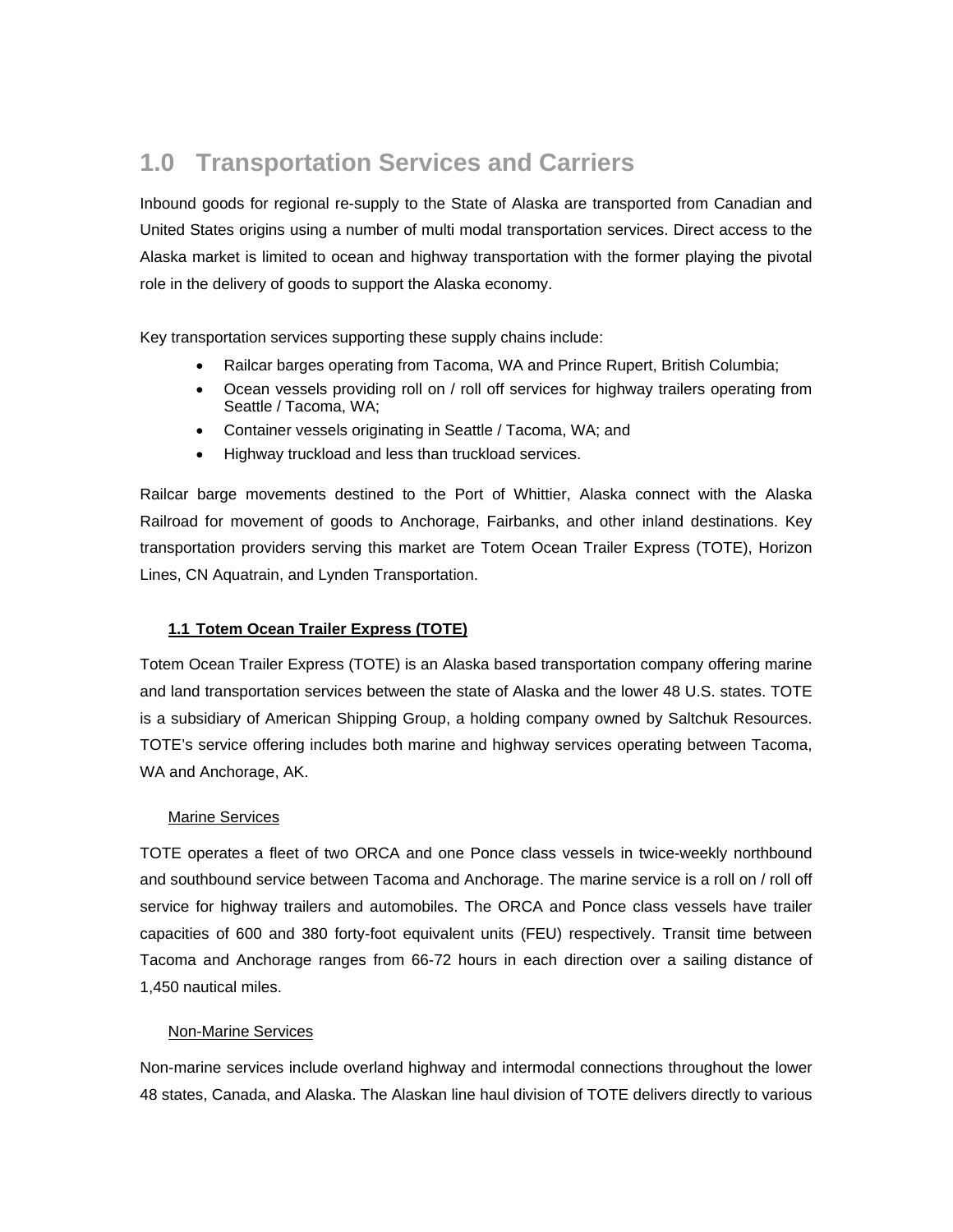# <span id="page-3-0"></span>**1.0 Transportation Services and Carriers**

Inbound goods for regional re-supply to the State of Alaska are transported from Canadian and United States origins using a number of multi modal transportation services. Direct access to the Alaska market is limited to ocean and highway transportation with the former playing the pivotal role in the delivery of goods to support the Alaska economy.

Key transportation services supporting these supply chains include:

- Railcar barges operating from Tacoma, WA and Prince Rupert, British Columbia;
- Ocean vessels providing roll on / roll off services for highway trailers operating from Seattle / Tacoma, WA;
- Container vessels originating in Seattle / Tacoma, WA; and
- Highway truckload and less than truckload services.

Railcar barge movements destined to the Port of Whittier, Alaska connect with the Alaska Railroad for movement of goods to Anchorage, Fairbanks, and other inland destinations. Key transportation providers serving this market are Totem Ocean Trailer Express (TOTE), Horizon Lines, CN Aquatrain, and Lynden Transportation.

## **1.1 Totem Ocean Trailer Express (TOTE)**

Totem Ocean Trailer Express (TOTE) is an Alaska based transportation company offering marine and land transportation services between the state of Alaska and the lower 48 U.S. states. TOTE is a subsidiary of American Shipping Group, a holding company owned by Saltchuk Resources. TOTE's service offering includes both marine and highway services operating between Tacoma, WA and Anchorage, AK.

#### Marine Services

TOTE operates a fleet of two ORCA and one Ponce class vessels in twice-weekly northbound and southbound service between Tacoma and Anchorage. The marine service is a roll on / roll off service for highway trailers and automobiles. The ORCA and Ponce class vessels have trailer capacities of 600 and 380 forty-foot equivalent units (FEU) respectively. Transit time between Tacoma and Anchorage ranges from 66-72 hours in each direction over a sailing distance of 1,450 nautical miles.

#### Non-Marine Services

Non-marine services include overland highway and intermodal connections throughout the lower 48 states, Canada, and Alaska. The Alaskan line haul division of TOTE delivers directly to various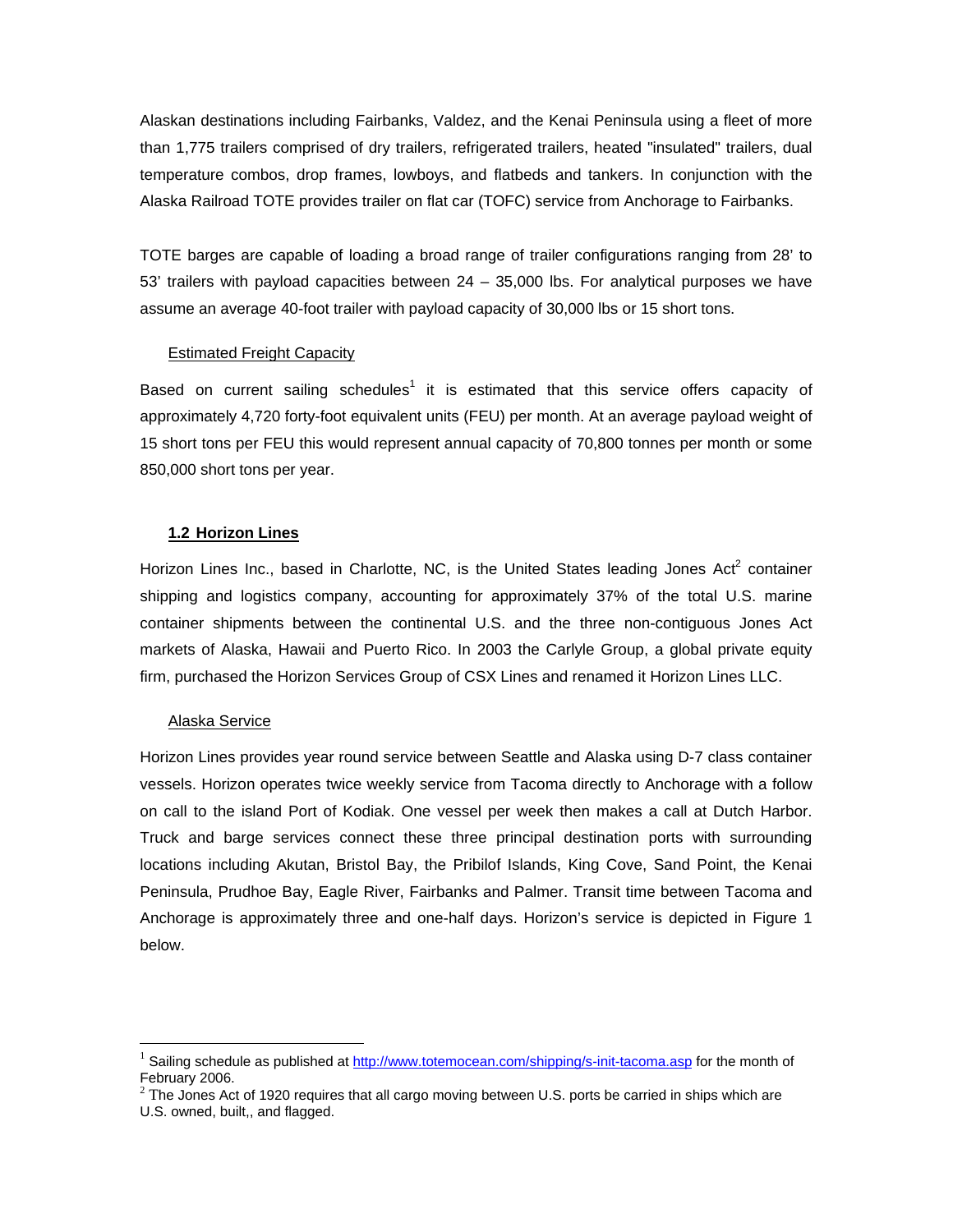<span id="page-4-0"></span>Alaskan destinations including Fairbanks, Valdez, and the Kenai Peninsula using a fleet of more than 1,775 trailers comprised of dry trailers, refrigerated trailers, heated "insulated" trailers, dual temperature combos, drop frames, lowboys, and flatbeds and tankers. In conjunction with the Alaska Railroad TOTE provides trailer on flat car (TOFC) service from Anchorage to Fairbanks.

TOTE barges are capable of loading a broad range of trailer configurations ranging from 28' to 53' trailers with payload capacities between  $24 - 35,000$  lbs. For analytical purposes we have assume an average 40-foot trailer with payload capacity of 30,000 lbs or 15 short tons.

#### Estimated Freight Capacity

Based on current sailing schedules<sup>[1](#page-4-1)</sup> it is estimated that this service offers capacity of approximately 4,720 forty-foot equivalent units (FEU) per month. At an average payload weight of 15 short tons per FEU this would represent annual capacity of 70,800 tonnes per month or some 850,000 short tons per year.

## **1.2 Horizon Lines**

Horizon Lines Inc., based in Charlotte, NC, is the United States leading Jones Act<sup>[2](#page-4-2)</sup> container shipping and logistics company, accounting for approximately 37% of the total U.S. marine container shipments between the continental U.S. and the three non-contiguous Jones Act markets of Alaska, Hawaii and Puerto Rico. In 2003 the Carlyle Group, a global private equity firm, purchased the Horizon Services Group of CSX Lines and renamed it Horizon Lines LLC.

#### Alaska Service

 $\overline{a}$ 

Horizon Lines provides year round service between Seattle and Alaska using D-7 class container vessels. Horizon operates twice weekly service from Tacoma directly to Anchorage with a follow on call to the island Port of Kodiak. One vessel per week then makes a call at Dutch Harbor. Truck and barge services connect these three principal destination ports with surrounding locations including Akutan, Bristol Bay, the Pribilof Islands, King Cove, Sand Point, the Kenai Peninsula, Prudhoe Bay, Eagle River, Fairbanks and Palmer. Transit time between Tacoma and Anchorage is approximately three and one-half days. Horizon's service is depicted in Figure 1 below.

<span id="page-4-1"></span><sup>1</sup> Sailing schedule as published at <http://www.totemocean.com/shipping/s-init-tacoma.asp>for the month of February 2006.

<span id="page-4-2"></span> $^2$  The Jones Act of 1920 requires that all cargo moving between U.S. ports be carried in ships which are U.S. owned, built,, and flagged.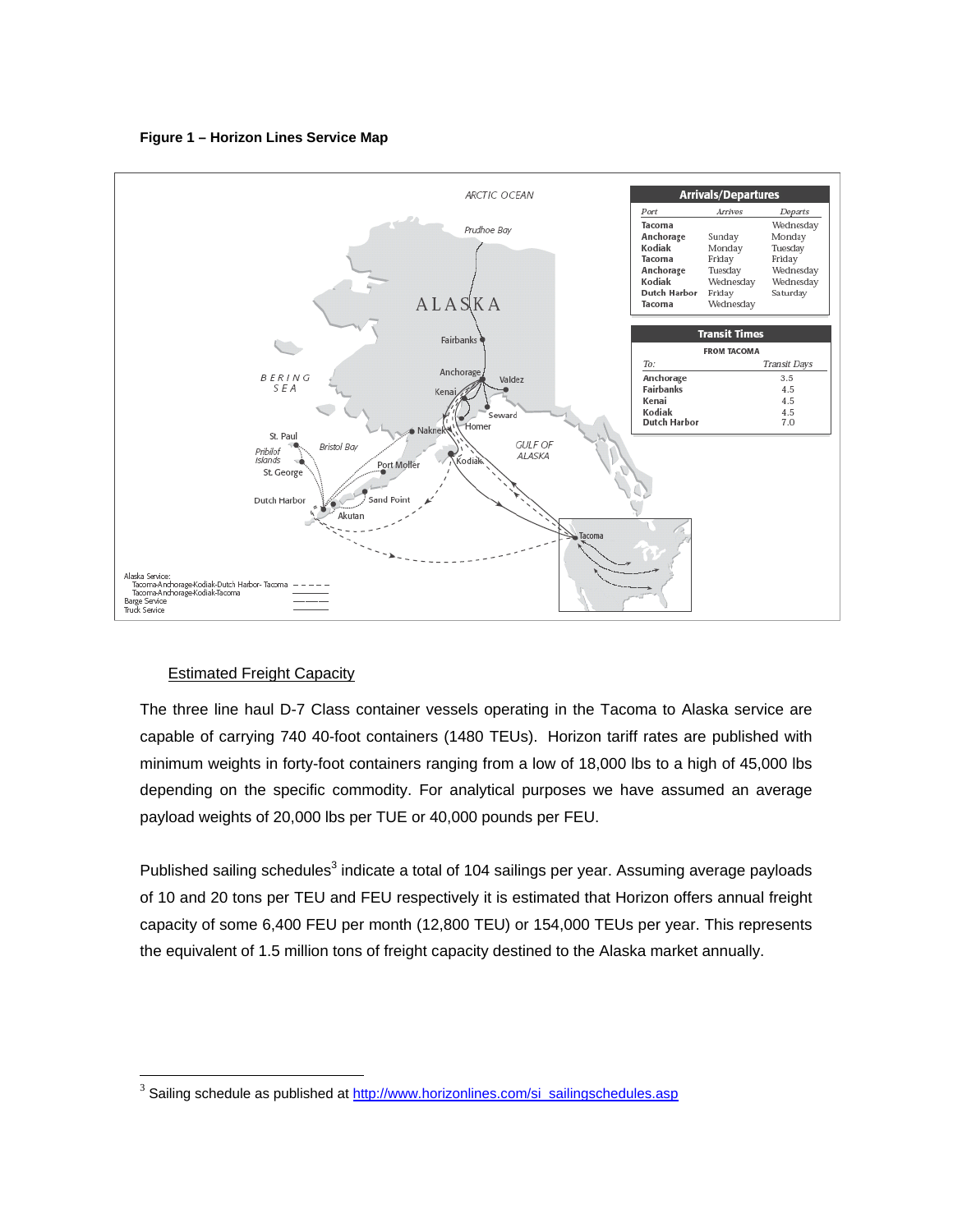**Figure 1 – Horizon Lines Service Map** 

<span id="page-5-0"></span>

## Estimated Freight Capacity

 $\overline{a}$ 

The three line haul D-7 Class container vessels operating in the Tacoma to Alaska service are capable of carrying 740 40-foot containers (1480 TEUs). Horizon tariff rates are published with minimum weights in forty-foot containers ranging from a low of 18,000 lbs to a high of 45,000 lbs depending on the specific commodity. For analytical purposes we have assumed an average payload weights of 20,000 lbs per TUE or 40,000 pounds per FEU.

Published sailing schedules $^3$  $^3$  indicate a total of 104 sailings per year. Assuming average payloads of 10 and 20 tons per TEU and FEU respectively it is estimated that Horizon offers annual freight capacity of some 6,400 FEU per month (12,800 TEU) or 154,000 TEUs per year. This represents the equivalent of 1.5 million tons of freight capacity destined to the Alaska market annually.

<span id="page-5-1"></span><sup>&</sup>lt;sup>3</sup> Sailing schedule as published at [http://www.horizonlines.com/si\\_sailingschedules.asp](http://www.horizonlines.com/si_sailingschedules.asp)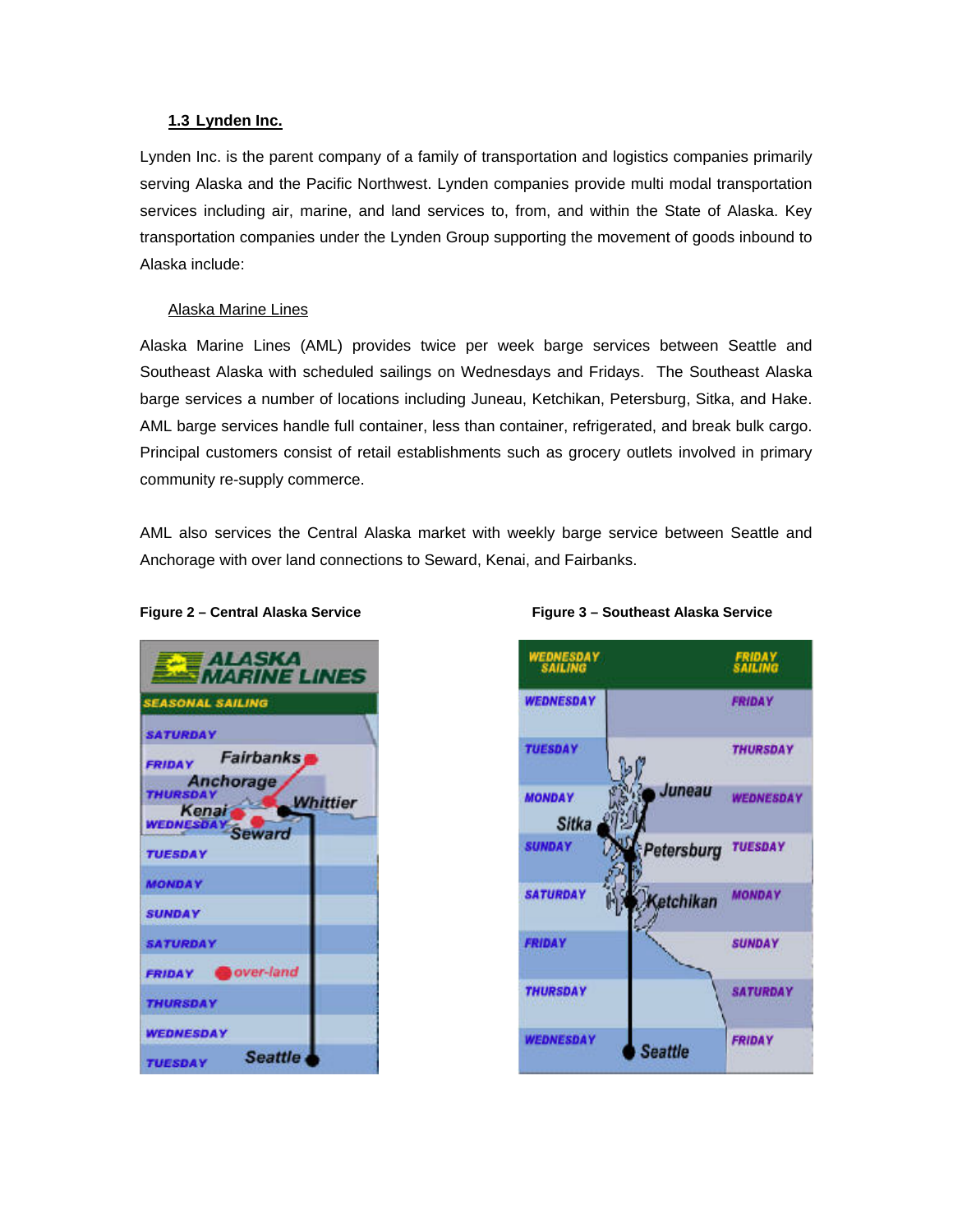#### <span id="page-6-0"></span>**1.3 Lynden Inc.**

Lynden Inc. is the parent company of a family of transportation and logistics companies primarily serving Alaska and the Pacific Northwest. Lynden companies provide multi modal transportation services including air, marine, and land services to, from, and within the State of Alaska. Key transportation companies under the Lynden Group supporting the movement of goods inbound to Alaska include:

#### Alaska Marine Lines

Alaska Marine Lines (AML) provides twice per week barge services between Seattle and Southeast Alaska with scheduled sailings on Wednesdays and Fridays. The Southeast Alaska barge services a number of locations including Juneau, Ketchikan, Petersburg, Sitka, and Hake. AML barge services handle full container, less than container, refrigerated, and break bulk cargo. Principal customers consist of retail establishments such as grocery outlets involved in primary community re-supply commerce.

AML also services the Central Alaska market with weekly barge service between Seattle and Anchorage with over land connections to Seward, Kenai, and Fairbanks.

| <b>ALASKA</b><br>MARINE LINES                                   |  |
|-----------------------------------------------------------------|--|
| <b>SEASONAL SAILING</b>                                         |  |
| <b>SATURDAY</b>                                                 |  |
| <b>Fairbanks</b><br><b>FRIDAY</b>                               |  |
| <b>Anchorage</b><br><b>THURSDAY</b><br><b>Whittier</b><br>Kenai |  |
| WEDNESDAY Seward                                                |  |
| <b>TUESDAY</b>                                                  |  |
| <b>MONDAY</b>                                                   |  |
| <b>SUNDAY</b>                                                   |  |
| <b>SATURDAY</b>                                                 |  |
| FRIDAY OVer-land                                                |  |
| <b><i>THURSDAY</i></b>                                          |  |
| <b>WEDNESDAY</b>                                                |  |
| <b>Seattle</b><br><b>TUESDAY</b>                                |  |

#### **Figure 2 – Central Alaska Service Figure 3 – Southeast Alaska Service**

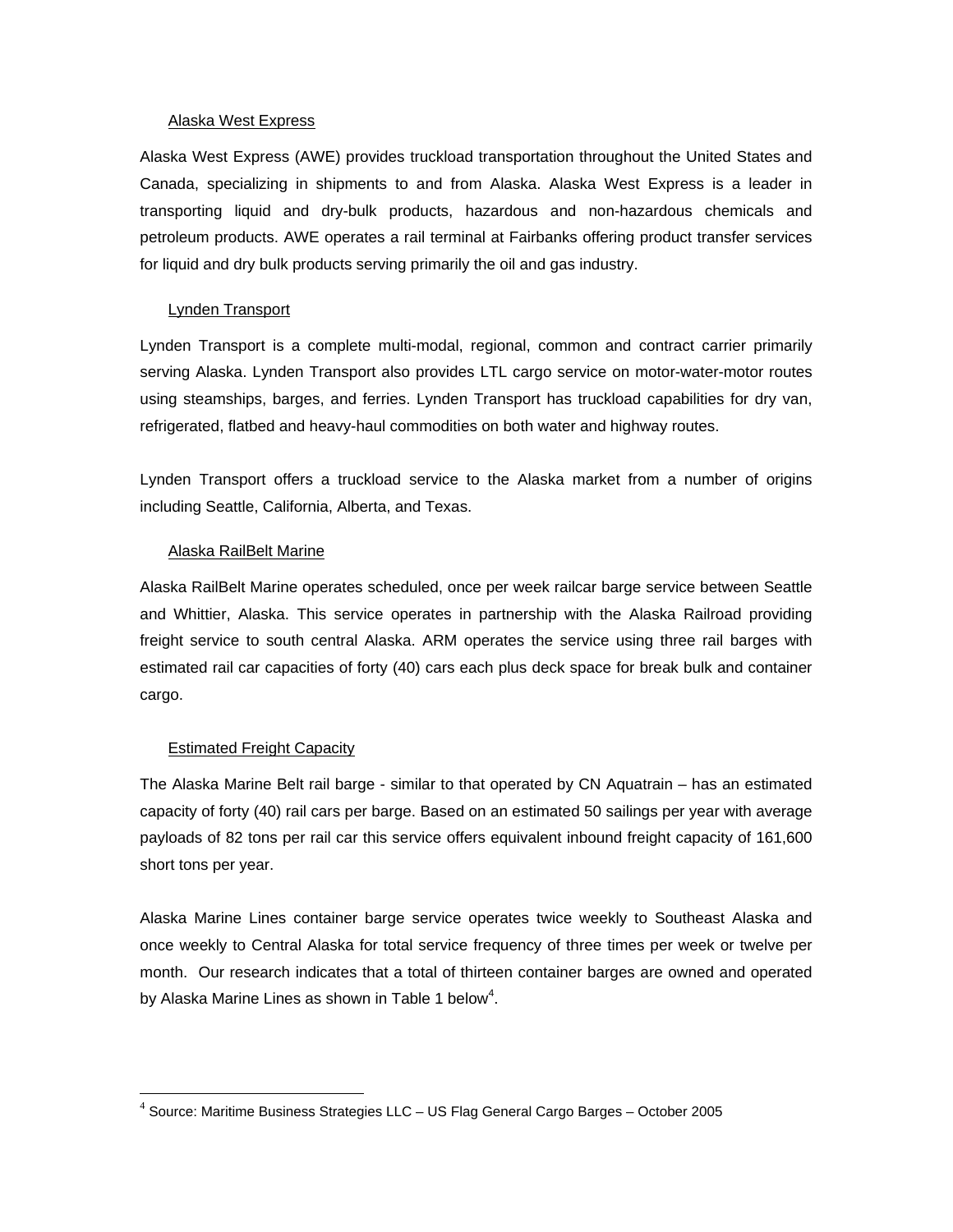#### <span id="page-7-0"></span>Alaska West Express

Alaska West Express (AWE) provides truckload transportation throughout the United States and Canada, specializing in shipments to and from Alaska. Alaska West Express is a leader in transporting liquid and dry-bulk products, hazardous and non-hazardous chemicals and petroleum products. AWE operates a rail terminal at Fairbanks offering product transfer services for liquid and dry bulk products serving primarily the oil and gas industry.

#### Lynden Transport

Lynden Transport is a complete multi-modal, regional, common and contract carrier primarily serving Alaska. Lynden Transport also provides LTL cargo service on motor-water-motor routes using steamships, barges, and ferries. Lynden Transport has truckload capabilities for dry van, refrigerated, flatbed and heavy-haul commodities on both water and highway routes.

Lynden Transport offers a truckload service to the Alaska market from a number of origins including Seattle, California, Alberta, and Texas.

#### Alaska RailBelt Marine

Alaska RailBelt Marine operates scheduled, once per week railcar barge service between Seattle and Whittier, Alaska. This service operates in partnership with the Alaska Railroad providing freight service to south central Alaska. ARM operates the service using three rail barges with estimated rail car capacities of forty (40) cars each plus deck space for break bulk and container cargo.

#### Estimated Freight Capacity

 $\overline{a}$ 

The Alaska Marine Belt rail barge - similar to that operated by CN Aquatrain – has an estimated capacity of forty (40) rail cars per barge. Based on an estimated 50 sailings per year with average payloads of 82 tons per rail car this service offers equivalent inbound freight capacity of 161,600 short tons per year.

Alaska Marine Lines container barge service operates twice weekly to Southeast Alaska and once weekly to Central Alaska for total service frequency of three times per week or twelve per month. Our research indicates that a total of thirteen container barges are owned and operated by Alaska Marine Lines as shown in Table 1 below<sup>4</sup>[.](#page-7-1)

<span id="page-7-1"></span> $4$  Source: Maritime Business Strategies LLC – US Flag General Cargo Barges – October 2005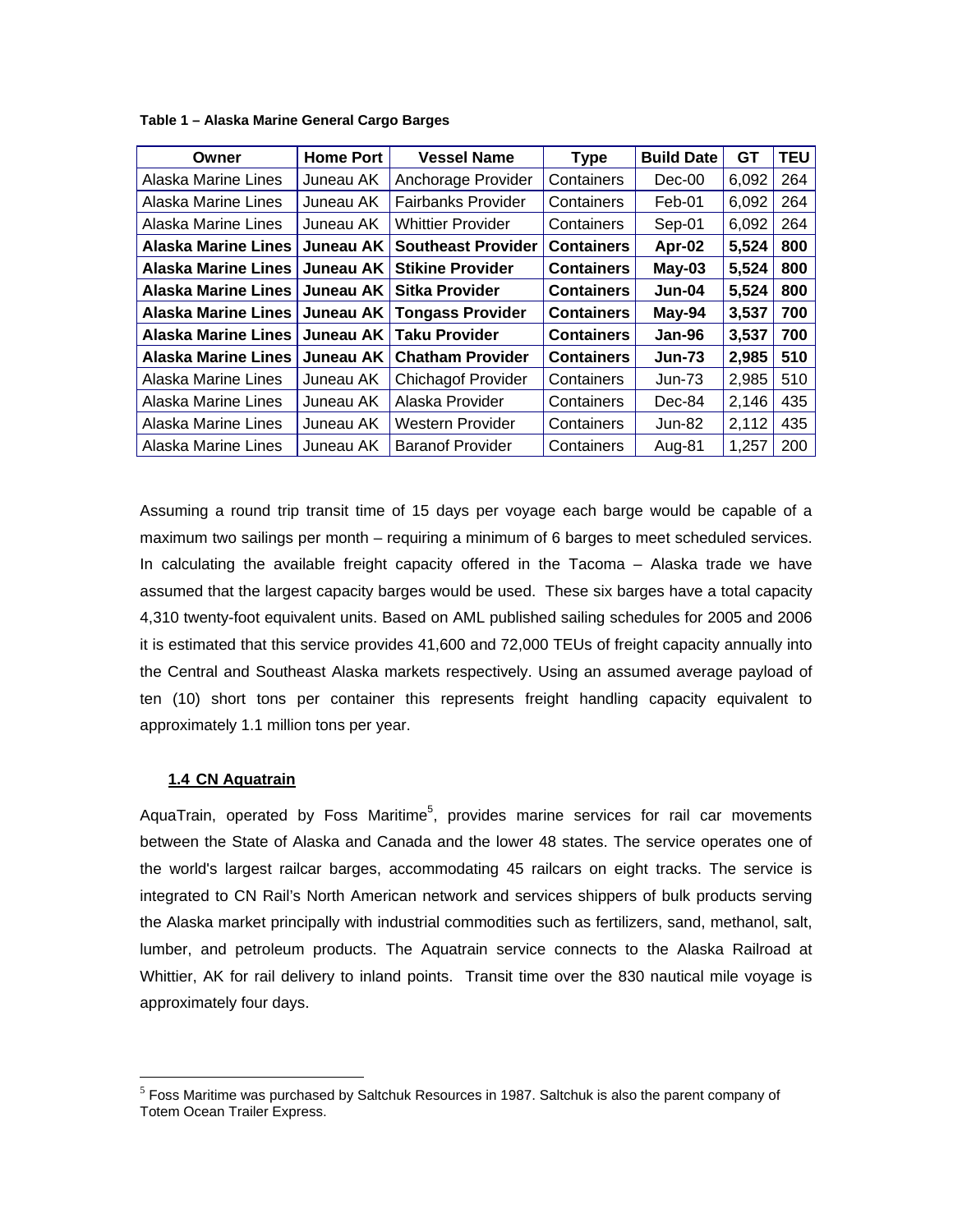<span id="page-8-0"></span>**Table 1 – Alaska Marine General Cargo Barges** 

| Owner                           | <b>Home Port</b> | <b>Vessel Name</b>        | <b>Type</b>       | <b>Build Date</b> | GT    | <b>TEU</b> |
|---------------------------------|------------------|---------------------------|-------------------|-------------------|-------|------------|
| Alaska Marine Lines             | Juneau AK        | Anchorage Provider        | Containers        | Dec-00            | 6,092 | 264        |
| Alaska Marine Lines             | Juneau AK        | <b>Fairbanks Provider</b> | Containers        | Feb-01            | 6,092 | 264        |
| Alaska Marine Lines             | Juneau AK        | <b>Whittier Provider</b>  | Containers        | Sep-01            | 6,092 | 264        |
| <b>Alaska Marine Lines</b>      | Juneau AK        | <b>Southeast Provider</b> | <b>Containers</b> | Apr-02            | 5,524 | 800        |
| Alaska Marine Lines   Juneau AK |                  | <b>Stikine Provider</b>   | <b>Containers</b> | $May-03$          | 5,524 | 800        |
| Alaska Marine Lines   Juneau AK |                  | <b>Sitka Provider</b>     | <b>Containers</b> | Jun-04            | 5,524 | 800        |
| Alaska Marine Lines   Juneau AK |                  | <b>Tongass Provider</b>   | <b>Containers</b> | May-94            | 3,537 | 700        |
| Alaska Marine Lines   Juneau AK |                  | <b>Taku Provider</b>      | <b>Containers</b> | Jan-96            | 3,537 | 700        |
| <b>Alaska Marine Lines</b>      | Juneau AK        | <b>Chatham Provider</b>   | <b>Containers</b> | <b>Jun-73</b>     | 2,985 | 510        |
| Alaska Marine Lines             | Juneau AK        | <b>Chichagof Provider</b> | Containers        | $Jun-73$          | 2,985 | 510        |
| Alaska Marine Lines             | Juneau AK        | Alaska Provider           | Containers        | Dec-84            | 2,146 | 435        |
| Alaska Marine Lines             | Juneau AK        | <b>Western Provider</b>   | Containers        | Jun-82            | 2,112 | 435        |
| Alaska Marine Lines             | Juneau AK        | <b>Baranof Provider</b>   | Containers        | Aug-81            | 1,257 | 200        |

Assuming a round trip transit time of 15 days per voyage each barge would be capable of a maximum two sailings per month – requiring a minimum of 6 barges to meet scheduled services. In calculating the available freight capacity offered in the Tacoma – Alaska trade we have assumed that the largest capacity barges would be used. These six barges have a total capacity 4,310 twenty-foot equivalent units. Based on AML published sailing schedules for 2005 and 2006 it is estimated that this service provides 41,600 and 72,000 TEUs of freight capacity annually into the Central and Southeast Alaska markets respectively. Using an assumed average payload of ten (10) short tons per container this represents freight handling capacity equivalent to approximately 1.1 million tons per year.

## **1.4 CN Aquatrain**

 $\overline{a}$ 

AquaTrain, operated by Foss Maritime<sup>[5](#page-8-1)</sup>, provides marine services for rail car movements between the State of Alaska and Canada and the lower 48 states. The service operates one of the world's largest railcar barges, accommodating 45 railcars on eight tracks. The service is integrated to CN Rail's North American network and services shippers of bulk products serving the Alaska market principally with industrial commodities such as fertilizers, sand, methanol, salt, lumber, and petroleum products. The Aquatrain service connects to the Alaska Railroad at Whittier, AK for rail delivery to inland points. Transit time over the 830 nautical mile voyage is approximately four days.

<span id="page-8-1"></span> $<sup>5</sup>$  Foss Maritime was purchased by Saltchuk Resources in 1987. Saltchuk is also the parent company of</sup> Totem Ocean Trailer Express.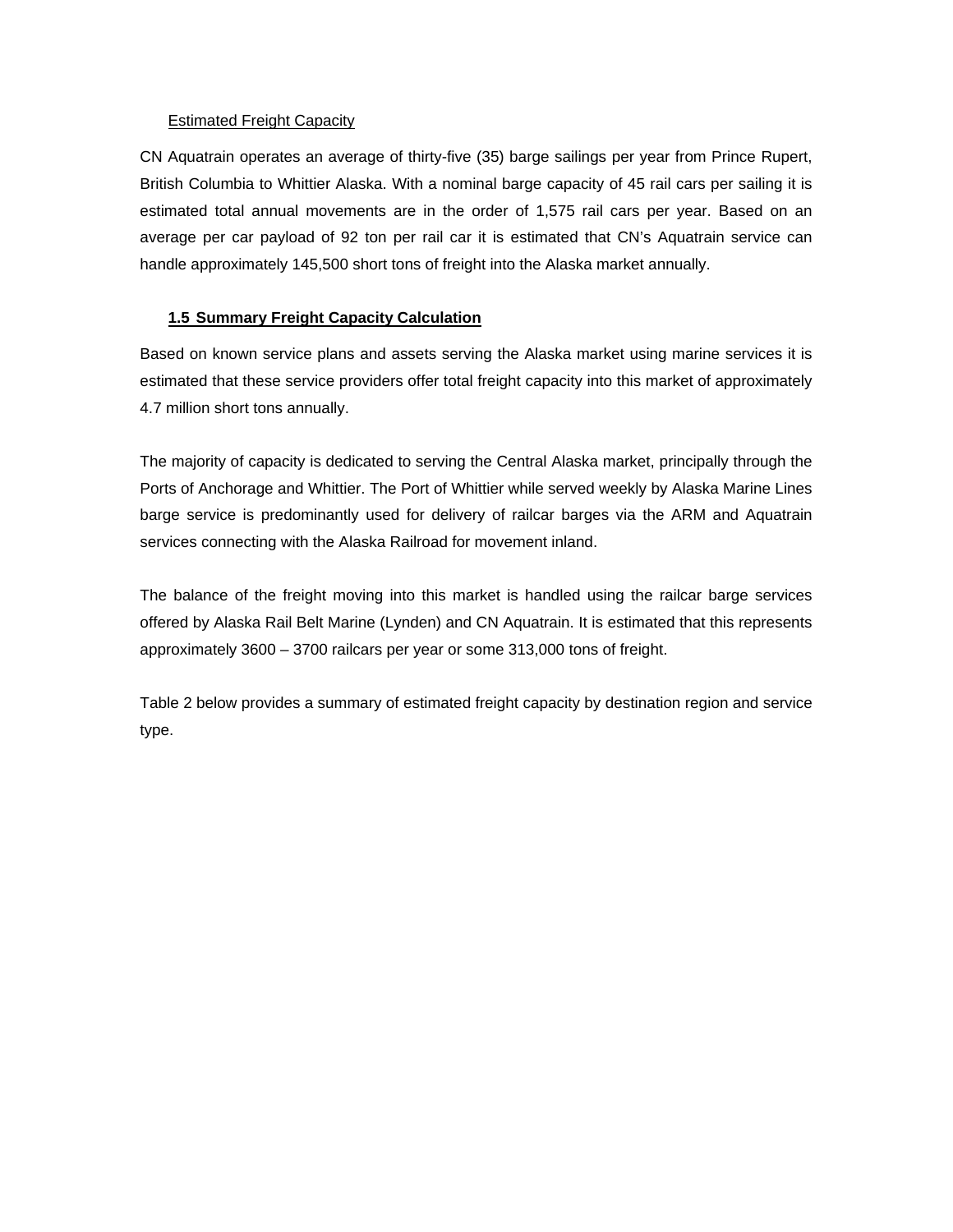#### <span id="page-9-0"></span>Estimated Freight Capacity

CN Aquatrain operates an average of thirty-five (35) barge sailings per year from Prince Rupert, British Columbia to Whittier Alaska. With a nominal barge capacity of 45 rail cars per sailing it is estimated total annual movements are in the order of 1,575 rail cars per year. Based on an average per car payload of 92 ton per rail car it is estimated that CN's Aquatrain service can handle approximately 145,500 short tons of freight into the Alaska market annually.

# **1.5 Summary Freight Capacity Calculation**

Based on known service plans and assets serving the Alaska market using marine services it is estimated that these service providers offer total freight capacity into this market of approximately 4.7 million short tons annually.

The majority of capacity is dedicated to serving the Central Alaska market, principally through the Ports of Anchorage and Whittier. The Port of Whittier while served weekly by Alaska Marine Lines barge service is predominantly used for delivery of railcar barges via the ARM and Aquatrain services connecting with the Alaska Railroad for movement inland.

The balance of the freight moving into this market is handled using the railcar barge services offered by Alaska Rail Belt Marine (Lynden) and CN Aquatrain. It is estimated that this represents approximately 3600 – 3700 railcars per year or some 313,000 tons of freight.

Table 2 below provides a summary of estimated freight capacity by destination region and service type.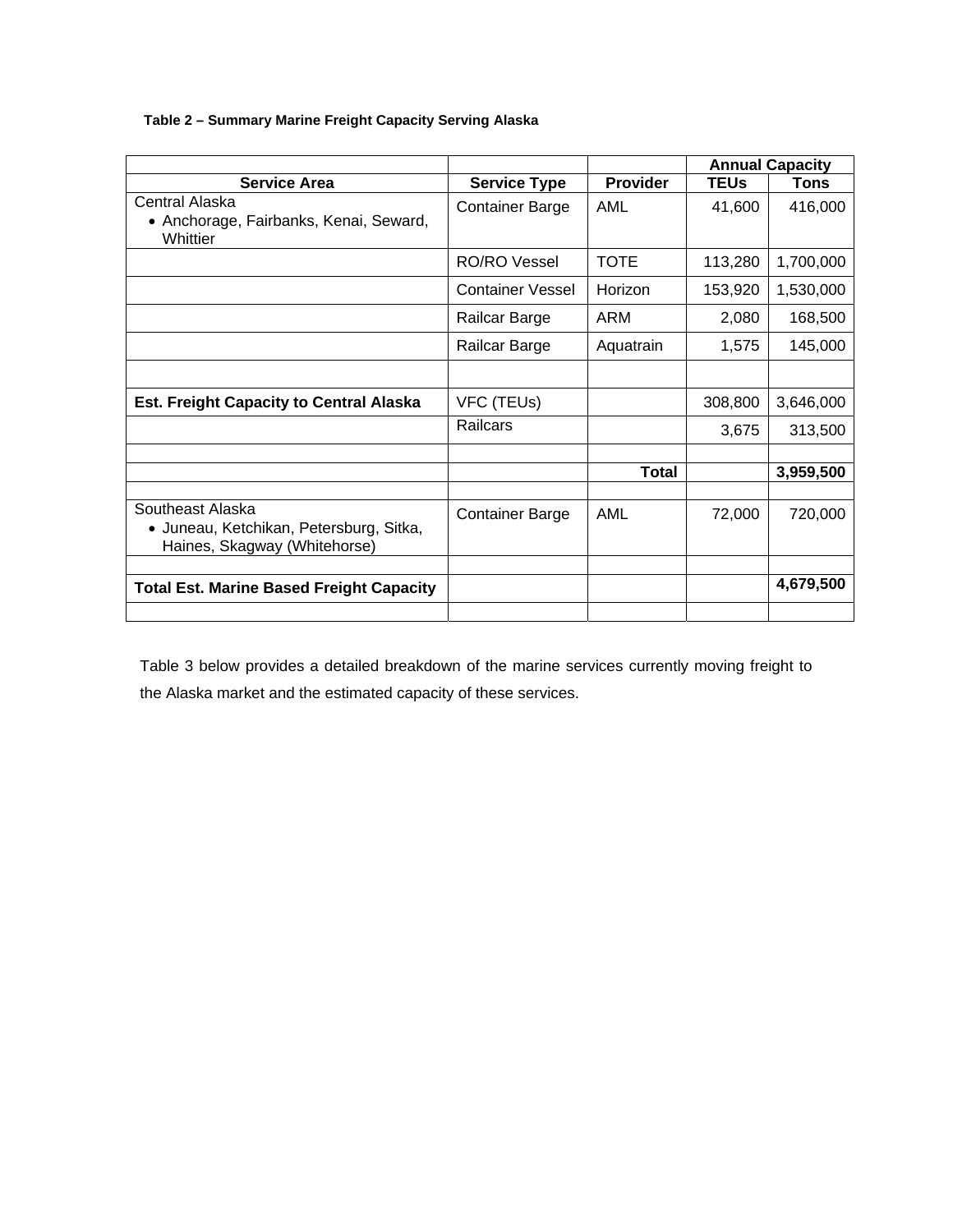**Table 2 – Summary Marine Freight Capacity Serving Alaska**

|                                                                                             |                         |                 | <b>Annual Capacity</b> |           |
|---------------------------------------------------------------------------------------------|-------------------------|-----------------|------------------------|-----------|
| <b>Service Area</b>                                                                         | <b>Service Type</b>     | <b>Provider</b> | <b>TEUs</b>            | Tons      |
| Central Alaska<br>• Anchorage, Fairbanks, Kenai, Seward,<br>Whittier                        | <b>Container Barge</b>  | AML             | 41,600                 | 416,000   |
|                                                                                             | RO/RO Vessel            | <b>TOTE</b>     | 113,280                | 1,700,000 |
|                                                                                             | <b>Container Vessel</b> | Horizon         | 153,920                | 1,530,000 |
|                                                                                             | Railcar Barge           | ARM             | 2,080                  | 168,500   |
|                                                                                             | Railcar Barge           | Aquatrain       | 1,575                  | 145,000   |
|                                                                                             |                         |                 |                        |           |
| <b>Est. Freight Capacity to Central Alaska</b>                                              | VFC (TEUs)              |                 | 308,800                | 3,646,000 |
|                                                                                             | Railcars                |                 | 3,675                  | 313,500   |
|                                                                                             |                         |                 |                        |           |
|                                                                                             |                         | <b>Total</b>    |                        | 3,959,500 |
| Southeast Alaska<br>• Juneau, Ketchikan, Petersburg, Sitka,<br>Haines, Skagway (Whitehorse) | <b>Container Barge</b>  | AML             | 72,000                 | 720,000   |
| <b>Total Est. Marine Based Freight Capacity</b>                                             |                         |                 |                        | 4,679,500 |

Table 3 below provides a detailed breakdown of the marine services currently moving freight to the Alaska market and the estimated capacity of these services.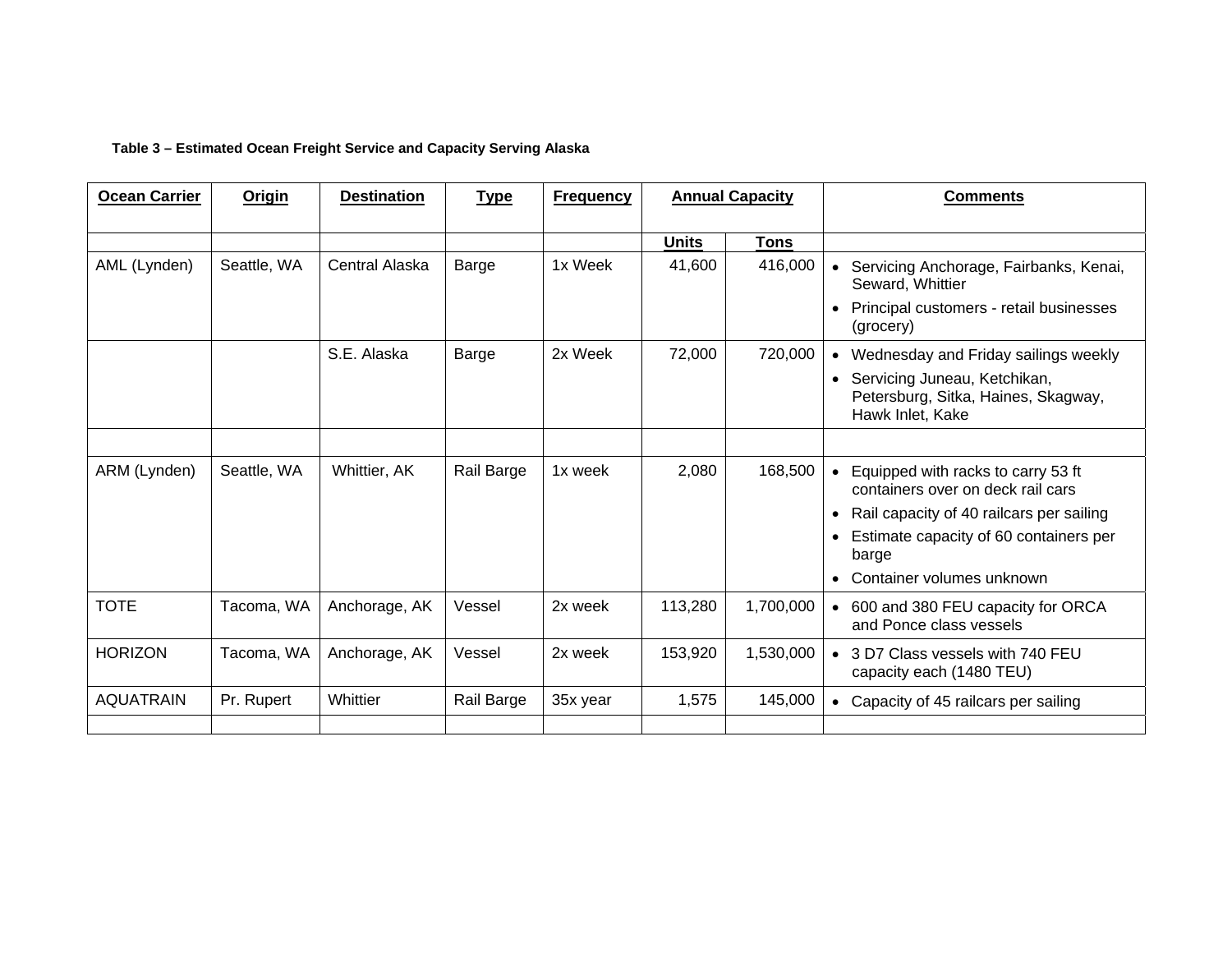#### **Table 3 – Estimated Ocean Freight Service and Capacity Serving Alaska**

| <b>Ocean Carrier</b> | <b>Origin</b> | <b>Destination</b> | <b>Type</b> | <b>Frequency</b> | <b>Annual Capacity</b> |           | <b>Comments</b>                                                                           |
|----------------------|---------------|--------------------|-------------|------------------|------------------------|-----------|-------------------------------------------------------------------------------------------|
|                      |               |                    |             |                  | <b>Units</b>           | Tons      |                                                                                           |
| AML (Lynden)         | Seattle, WA   | Central Alaska     | Barge       | 1x Week          | 41,600                 | 416,000   | Servicing Anchorage, Fairbanks, Kenai,<br>Seward, Whittier                                |
|                      |               |                    |             |                  |                        |           | Principal customers - retail businesses<br>(grocery)                                      |
|                      |               | S.E. Alaska        | Barge       | 2x Week          | 72,000                 | 720,000   | • Wednesday and Friday sailings weekly                                                    |
|                      |               |                    |             |                  |                        |           | • Servicing Juneau, Ketchikan,<br>Petersburg, Sitka, Haines, Skagway,<br>Hawk Inlet, Kake |
|                      |               |                    |             |                  |                        |           |                                                                                           |
| ARM (Lynden)         | Seattle, WA   | Whittier, AK       | Rail Barge  | 1x week          | 2,080                  | 168,500   | • Equipped with racks to carry 53 ft<br>containers over on deck rail cars                 |
|                      |               |                    |             |                  |                        |           | Rail capacity of 40 railcars per sailing                                                  |
|                      |               |                    |             |                  |                        |           | Estimate capacity of 60 containers per<br>barge                                           |
|                      |               |                    |             |                  |                        |           | Container volumes unknown                                                                 |
| <b>TOTE</b>          | Tacoma, WA    | Anchorage, AK      | Vessel      | 2x week          | 113,280                | 1,700,000 | • 600 and 380 FEU capacity for ORCA<br>and Ponce class vessels                            |
| <b>HORIZON</b>       | Tacoma, WA    | Anchorage, AK      | Vessel      | 2x week          | 153,920                | 1,530,000 | • 3 D7 Class vessels with 740 FEU<br>capacity each (1480 TEU)                             |
| <b>AQUATRAIN</b>     | Pr. Rupert    | Whittier           | Rail Barge  | 35x year         | 1,575                  | 145,000   | • Capacity of 45 railcars per sailing                                                     |
|                      |               |                    |             |                  |                        |           |                                                                                           |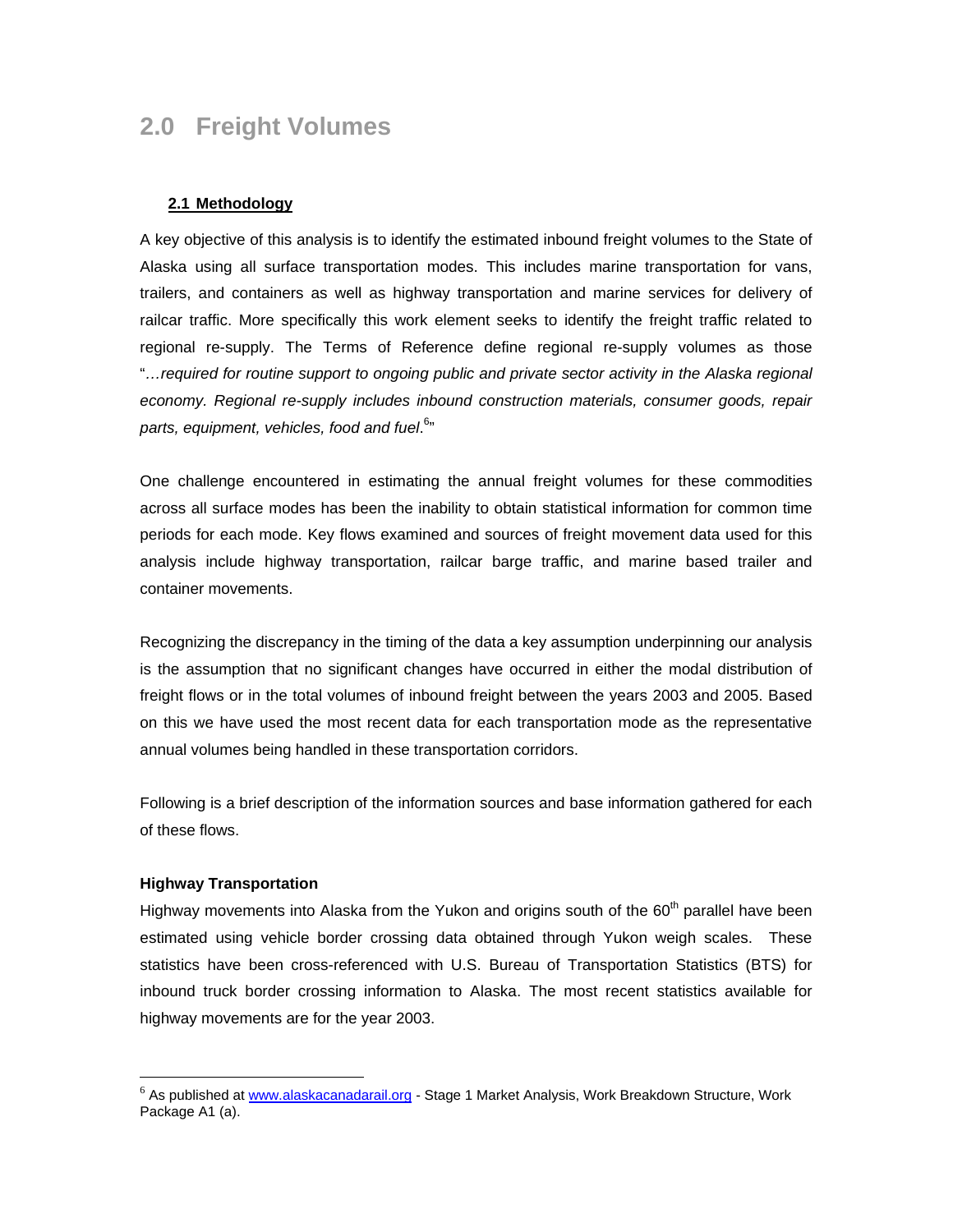# <span id="page-12-0"></span>**2.0 Freight Volumes**

#### **2.1 Methodology**

A key objective of this analysis is to identify the estimated inbound freight volumes to the State of Alaska using all surface transportation modes. This includes marine transportation for vans, trailers, and containers as well as highway transportation and marine services for delivery of railcar traffic. More specifically this work element seeks to identify the freight traffic related to regional re-supply. The Terms of Reference define regional re-supply volumes as those "*…required for routine support to ongoing public and private sector activity in the Alaska regional economy. Regional re-supply includes inbound construction materials, consumer goods, repair parts, equipment, vehicles, food and fuel*. 6 ["](#page-12-1)

One challenge encountered in estimating the annual freight volumes for these commodities across all surface modes has been the inability to obtain statistical information for common time periods for each mode. Key flows examined and sources of freight movement data used for this analysis include highway transportation, railcar barge traffic, and marine based trailer and container movements.

Recognizing the discrepancy in the timing of the data a key assumption underpinning our analysis is the assumption that no significant changes have occurred in either the modal distribution of freight flows or in the total volumes of inbound freight between the years 2003 and 2005. Based on this we have used the most recent data for each transportation mode as the representative annual volumes being handled in these transportation corridors.

Following is a brief description of the information sources and base information gathered for each of these flows.

#### **Highway Transportation**

 $\overline{a}$ 

Highway movements into Alaska from the Yukon and origins south of the 60<sup>th</sup> parallel have been estimated using vehicle border crossing data obtained through Yukon weigh scales. These statistics have been cross-referenced with U.S. Bureau of Transportation Statistics (BTS) for inbound truck border crossing information to Alaska. The most recent statistics available for highway movements are for the year 2003.

<span id="page-12-1"></span><sup>&</sup>lt;sup>6</sup> As published at [www.alaskacanadarail.org](http://www.alaskacanadarail.org/) - Stage 1 Market Analysis, Work Breakdown Structure, Work Package A1 (a).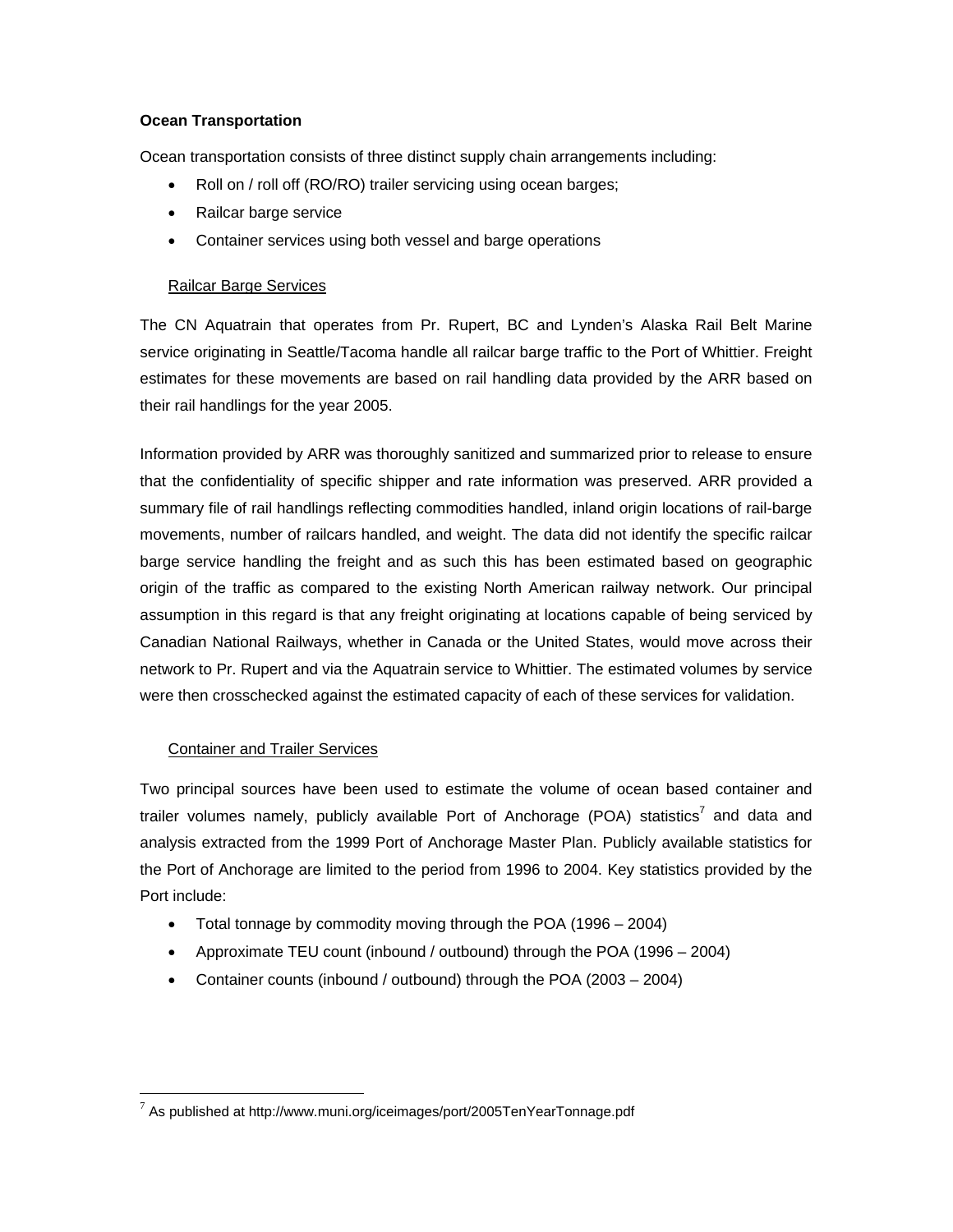## **Ocean Transportation**

Ocean transportation consists of three distinct supply chain arrangements including:

- Roll on / roll off (RO/RO) trailer servicing using ocean barges;
- Railcar barge service
- Container services using both vessel and barge operations

#### Railcar Barge Services

The CN Aquatrain that operates from Pr. Rupert, BC and Lynden's Alaska Rail Belt Marine service originating in Seattle/Tacoma handle all railcar barge traffic to the Port of Whittier. Freight estimates for these movements are based on rail handling data provided by the ARR based on their rail handlings for the year 2005.

Information provided by ARR was thoroughly sanitized and summarized prior to release to ensure that the confidentiality of specific shipper and rate information was preserved. ARR provided a summary file of rail handlings reflecting commodities handled, inland origin locations of rail-barge movements, number of railcars handled, and weight. The data did not identify the specific railcar barge service handling the freight and as such this has been estimated based on geographic origin of the traffic as compared to the existing North American railway network. Our principal assumption in this regard is that any freight originating at locations capable of being serviced by Canadian National Railways, whether in Canada or the United States, would move across their network to Pr. Rupert and via the Aquatrain service to Whittier. The estimated volumes by service were then crosschecked against the estimated capacity of each of these services for validation.

## Container and Trailer Services

 $\overline{a}$ 

Two principal sources have been used to estimate the volume of ocean based container and trailer volumes namely, publicly available Port of Anchorage (POA) statistics<sup>[7](#page-13-0)</sup> and data and analysis extracted from the 1999 Port of Anchorage Master Plan. Publicly available statistics for the Port of Anchorage are limited to the period from 1996 to 2004. Key statistics provided by the Port include:

- Total tonnage by commodity moving through the POA (1996 2004)
- Approximate TEU count (inbound / outbound) through the POA (1996 2004)
- Container counts (inbound / outbound) through the POA (2003 2004)

<span id="page-13-0"></span> $7$  As published at http://www.muni.org/iceimages/port/2005TenYearTonnage.pdf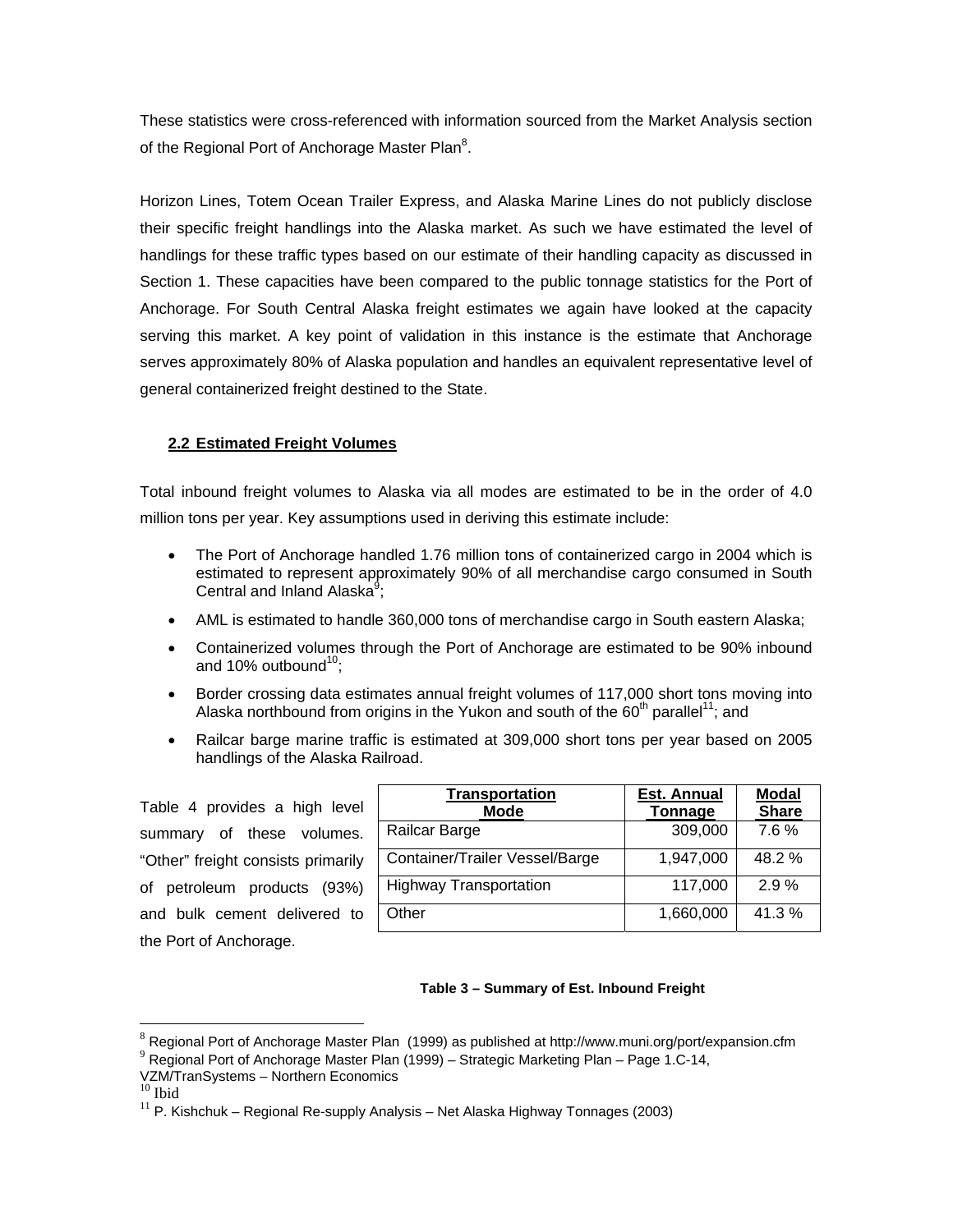<span id="page-14-0"></span>These statistics were cross-referenced with information sourced from the Market Analysis section of the Regional Port of Anchorage Master Plan<sup>8</sup>[.](#page-14-1)

Horizon Lines, Totem Ocean Trailer Express, and Alaska Marine Lines do not publicly disclose their specific freight handlings into the Alaska market. As such we have estimated the level of handlings for these traffic types based on our estimate of their handling capacity as discussed in Section 1. These capacities have been compared to the public tonnage statistics for the Port of Anchorage. For South Central Alaska freight estimates we again have looked at the capacity serving this market. A key point of validation in this instance is the estimate that Anchorage serves approximately 80% of Alaska population and handles an equivalent representative level of general containerized freight destined to the State.

# **2.2 Estimated Freight Volumes**

Total inbound freight volumes to Alaska via all modes are estimated to be in the order of 4.0 million tons per year. Key assumptions used in deriving this estimate include:

- The Port of Anchorage handled 1.76 million tons of containerized cargo in 2004 which is estimated to represent approximately 90% of all merchandise cargo consumed in South Central and Inland Alaska<sup>[9](#page-14-2)</sup>;
- AML is estimated to handle 360,000 tons of merchandise cargo in South eastern Alaska;
- Containerized volumes through the Port of Anchorage are estimated to be 90% inbound and 10% outbound<sup>10</sup>:
- Border crossing data estimates annual freight volumes of 117,000 short tons moving into Alaska northbound from origins in the Yukon and south of the  $60<sup>th</sup>$  parallel<sup>11</sup>; and
- Railcar barge marine traffic is estimated at 309,000 short tons per year based on 2005 handlings of the Alaska Railroad.

Table 4 provides a high level summary of these volumes. "Other" freight consists primarily of petroleum products (93%) and bulk cement delivered to the Port of Anchorage.

| <b>Transportation</b>          | <b>Est. Annual</b> | <b>Modal</b> |
|--------------------------------|--------------------|--------------|
| <b>Mode</b>                    | Tonnage            | <b>Share</b> |
| Railcar Barge                  | 309,000            | 7.6%         |
| Container/Trailer Vessel/Barge | 1,947,000          | 48.2 %       |
| <b>Highway Transportation</b>  | 117,000            | 2.9%         |
| Other                          | 1,660,000          | 41.3%        |

#### **Table 3 – Summary of Est. Inbound Freight**

 $\overline{a}$ 

<span id="page-14-1"></span> $8$  Regional Port of Anchorage Master Plan (1999) as published at http://www.muni.org/port/expansion.cfm

<span id="page-14-2"></span><sup>&</sup>lt;sup>9</sup> Regional Port of Anchorage Master Plan (1999) – Strategic Marketing Plan – Page 1.C-14,

<span id="page-14-4"></span><span id="page-14-3"></span>

VZM/TranSystems – Northern Economics<br><sup>10</sup> Ibid<br><sup>11</sup> P. Kishchuk – Regional Re-supply Analysis – Net Alaska Highway Tonnages (2003)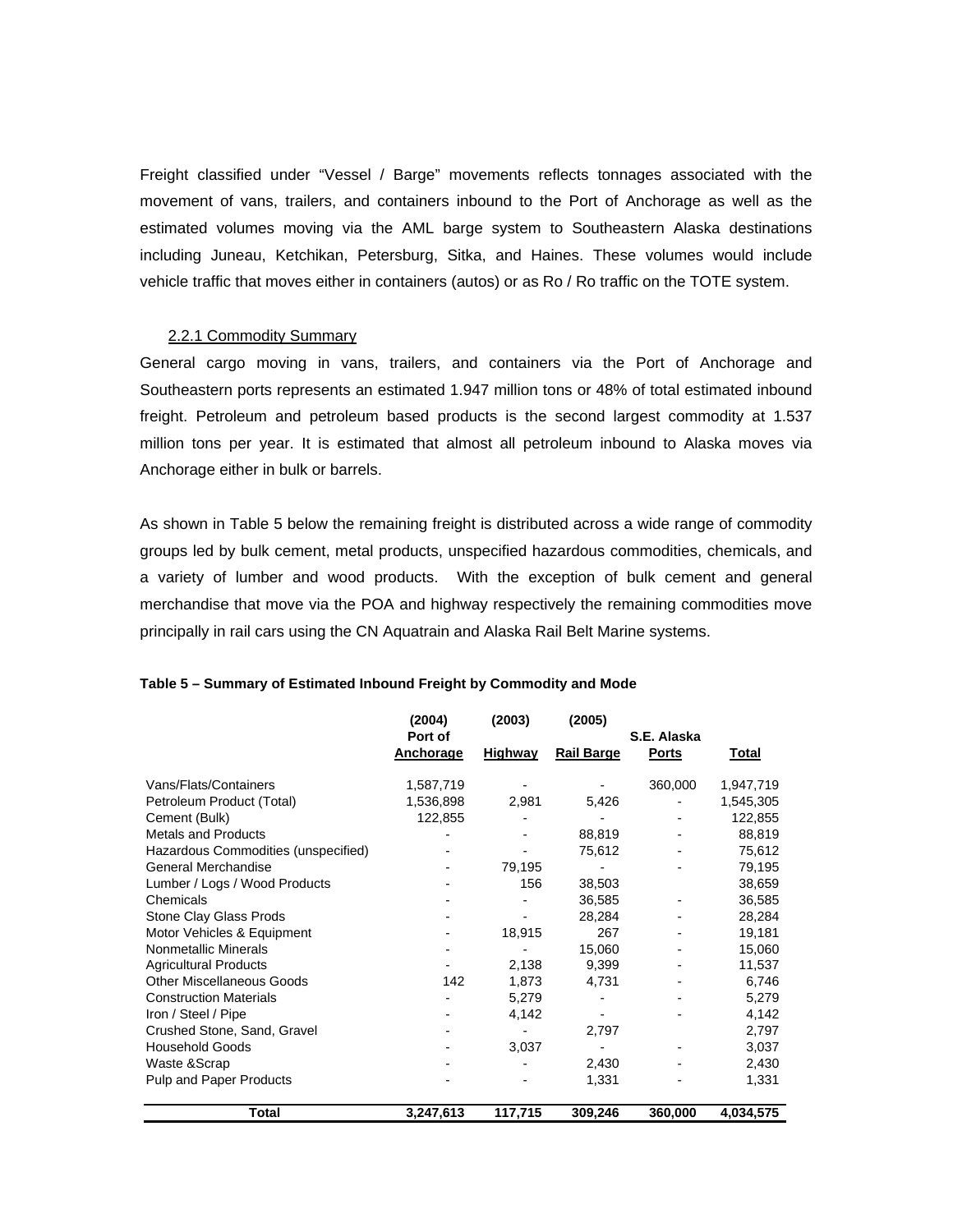<span id="page-15-0"></span>Freight classified under "Vessel / Barge" movements reflects tonnages associated with the movement of vans, trailers, and containers inbound to the Port of Anchorage as well as the estimated volumes moving via the AML barge system to Southeastern Alaska destinations including Juneau, Ketchikan, Petersburg, Sitka, and Haines. These volumes would include vehicle traffic that moves either in containers (autos) or as Ro / Ro traffic on the TOTE system.

#### 2.2.1 Commodity Summary

General cargo moving in vans, trailers, and containers via the Port of Anchorage and Southeastern ports represents an estimated 1.947 million tons or 48% of total estimated inbound freight. Petroleum and petroleum based products is the second largest commodity at 1.537 million tons per year. It is estimated that almost all petroleum inbound to Alaska moves via Anchorage either in bulk or barrels.

As shown in Table 5 below the remaining freight is distributed across a wide range of commodity groups led by bulk cement, metal products, unspecified hazardous commodities, chemicals, and a variety of lumber and wood products. With the exception of bulk cement and general merchandise that move via the POA and highway respectively the remaining commodities move principally in rail cars using the CN Aquatrain and Alaska Rail Belt Marine systems.

|                                     | (2004)<br>Port of | (2003)         | (2005)            | S.E. Alaska  |              |
|-------------------------------------|-------------------|----------------|-------------------|--------------|--------------|
|                                     | <b>Anchorage</b>  | <b>Highway</b> | <b>Rail Barge</b> | <b>Ports</b> | <b>Total</b> |
| Vans/Flats/Containers               | 1,587,719         |                |                   | 360,000      | 1,947,719    |
| Petroleum Product (Total)           | 1,536,898         | 2,981          | 5,426             |              | 1,545,305    |
| Cement (Bulk)                       | 122,855           |                |                   |              | 122,855      |
| <b>Metals and Products</b>          |                   |                | 88,819            |              | 88,819       |
| Hazardous Commodities (unspecified) |                   |                | 75,612            |              | 75,612       |
| <b>General Merchandise</b>          |                   | 79,195         |                   |              | 79,195       |
| Lumber / Logs / Wood Products       |                   | 156            | 38,503            |              | 38,659       |
| Chemicals                           |                   |                | 36,585            |              | 36,585       |
| Stone Clay Glass Prods              |                   |                | 28,284            |              | 28,284       |
| Motor Vehicles & Equipment          |                   | 18,915         | 267               |              | 19,181       |
| <b>Nonmetallic Minerals</b>         |                   |                | 15,060            |              | 15,060       |
| <b>Agricultural Products</b>        |                   | 2,138          | 9,399             |              | 11,537       |
| <b>Other Miscellaneous Goods</b>    | 142               | 1,873          | 4,731             |              | 6,746        |
| <b>Construction Materials</b>       |                   | 5,279          |                   |              | 5,279        |
| Iron / Steel / Pipe                 |                   | 4,142          |                   |              | 4,142        |
| Crushed Stone, Sand, Gravel         |                   |                | 2,797             |              | 2,797        |
| <b>Household Goods</b>              |                   | 3,037          |                   |              | 3,037        |
| Waste & Scrap                       |                   |                | 2,430             |              | 2,430        |
| <b>Pulp and Paper Products</b>      |                   |                | 1,331             |              | 1,331        |
| <b>Total</b>                        | 3,247,613         | 117,715        | 309,246           | 360,000      | 4,034,575    |

#### **Table 5 – Summary of Estimated Inbound Freight by Commodity and Mode**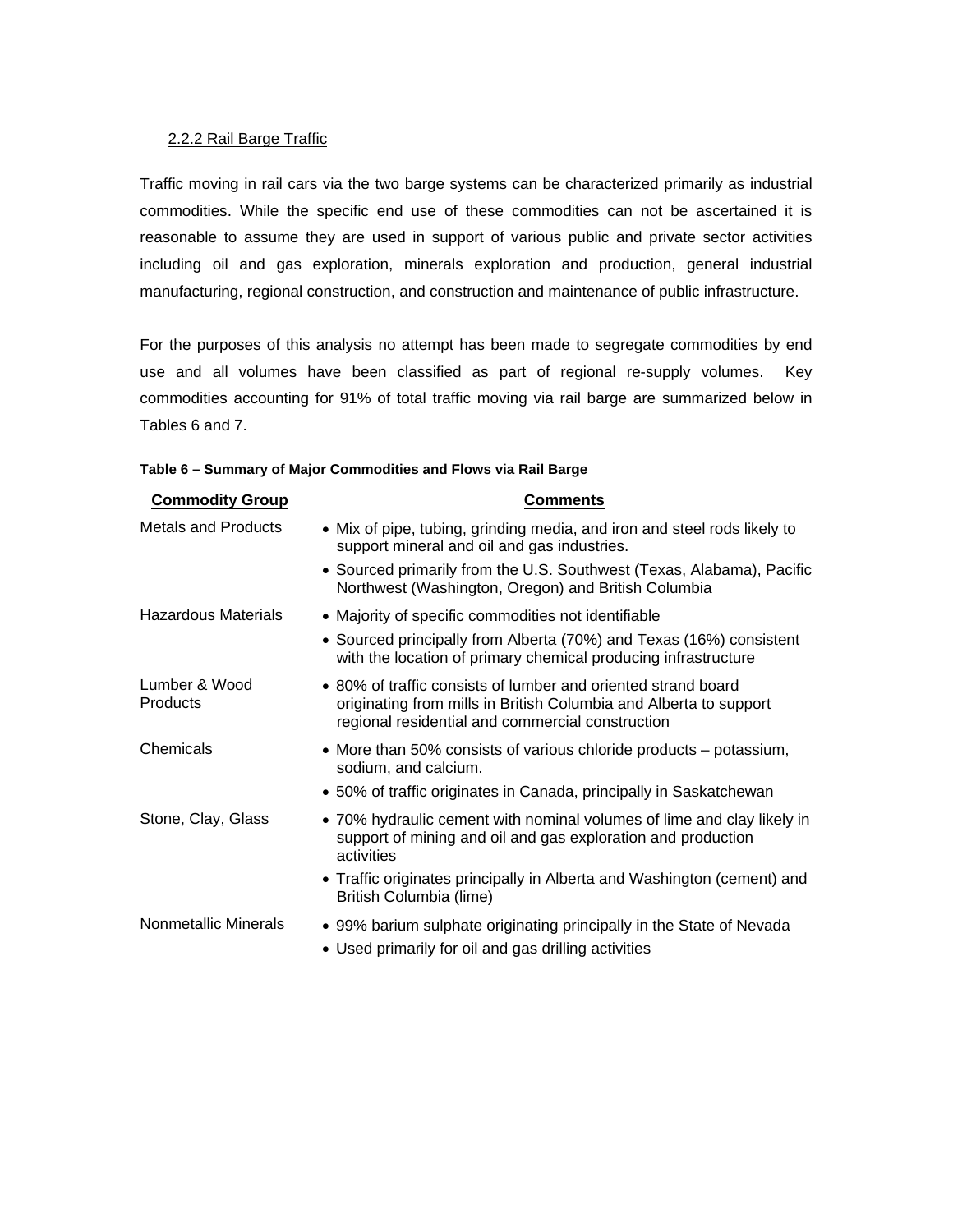#### <span id="page-16-0"></span>2.2.2 Rail Barge Traffic

Traffic moving in rail cars via the two barge systems can be characterized primarily as industrial commodities. While the specific end use of these commodities can not be ascertained it is reasonable to assume they are used in support of various public and private sector activities including oil and gas exploration, minerals exploration and production, general industrial manufacturing, regional construction, and construction and maintenance of public infrastructure.

For the purposes of this analysis no attempt has been made to segregate commodities by end use and all volumes have been classified as part of regional re-supply volumes. Key commodities accounting for 91% of total traffic moving via rail barge are summarized below in Tables 6 and 7.

| Table 6 - Summary of Major Commodities and Flows via Rail Barge |  |  |
|-----------------------------------------------------------------|--|--|
|                                                                 |  |  |

| <b>Commodity Group</b>     | Comments                                                                                                                                                                               |
|----------------------------|----------------------------------------------------------------------------------------------------------------------------------------------------------------------------------------|
| <b>Metals and Products</b> | • Mix of pipe, tubing, grinding media, and iron and steel rods likely to<br>support mineral and oil and gas industries.                                                                |
|                            | • Sourced primarily from the U.S. Southwest (Texas, Alabama), Pacific<br>Northwest (Washington, Oregon) and British Columbia                                                           |
| Hazardous Materials        | • Majority of specific commodities not identifiable                                                                                                                                    |
|                            | • Sourced principally from Alberta (70%) and Texas (16%) consistent<br>with the location of primary chemical producing infrastructure                                                  |
| Lumber & Wood<br>Products  | • 80% of traffic consists of lumber and oriented strand board<br>originating from mills in British Columbia and Alberta to support<br>regional residential and commercial construction |
| Chemicals                  | • More than 50% consists of various chloride products – potassium,<br>sodium, and calcium.                                                                                             |
|                            | • 50% of traffic originates in Canada, principally in Saskatchewan                                                                                                                     |
| Stone, Clay, Glass         | • 70% hydraulic cement with nominal volumes of lime and clay likely in<br>support of mining and oil and gas exploration and production<br>activities                                   |
|                            | • Traffic originates principally in Alberta and Washington (cement) and<br>British Columbia (lime)                                                                                     |
| Nonmetallic Minerals       | • 99% barium sulphate originating principally in the State of Nevada                                                                                                                   |
|                            | • Used primarily for oil and gas drilling activities                                                                                                                                   |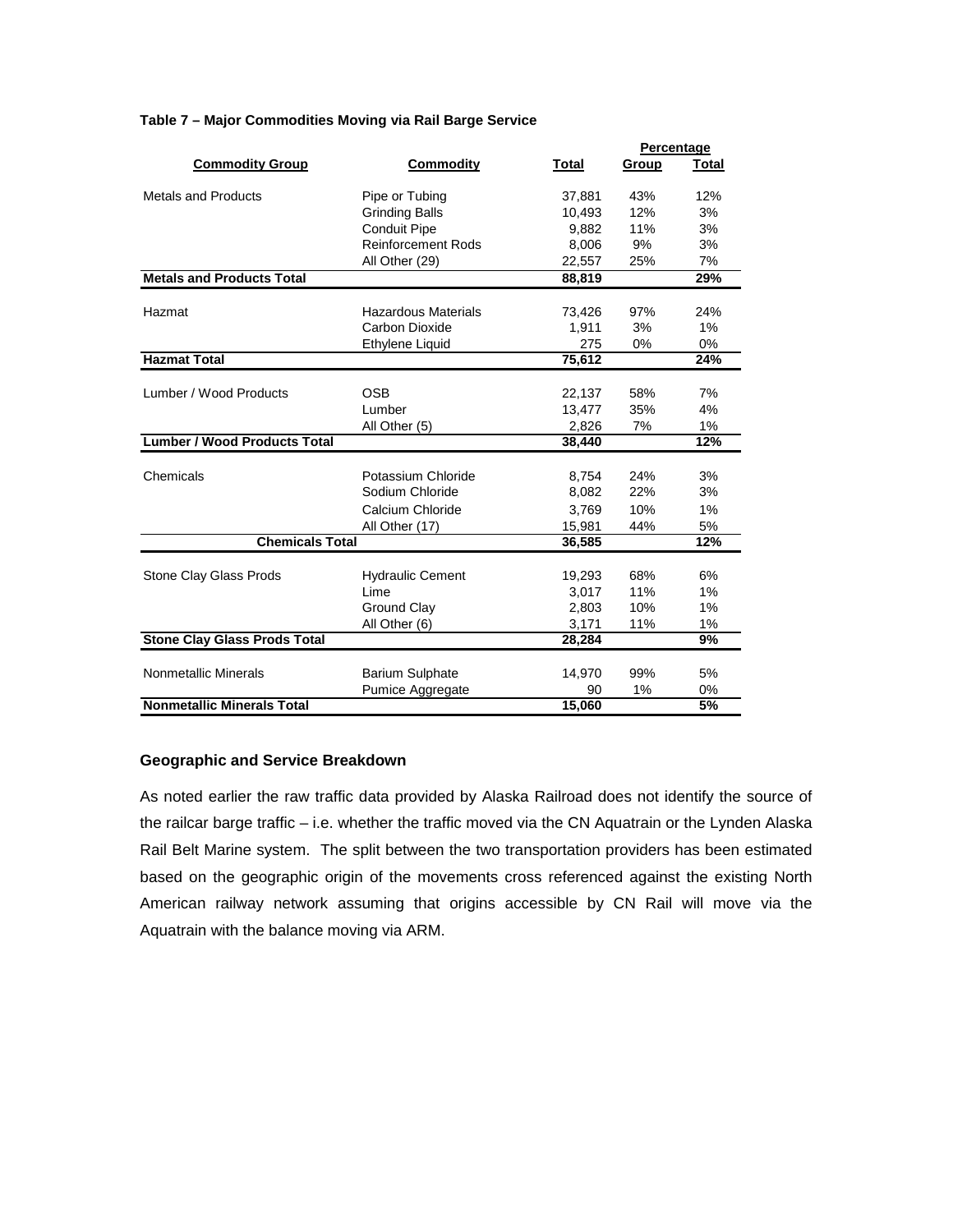|                                     |                            |        | Percentage |                  |
|-------------------------------------|----------------------------|--------|------------|------------------|
| <b>Commodity Group</b>              | <b>Commodity</b>           | Total  | Group      | <b>Total</b>     |
| <b>Metals and Products</b>          | Pipe or Tubing             | 37,881 | 43%        | 12%              |
|                                     | <b>Grinding Balls</b>      | 10,493 | 12%        | 3%               |
|                                     | <b>Conduit Pipe</b>        | 9,882  | 11%        | 3%               |
|                                     | <b>Reinforcement Rods</b>  | 8,006  | 9%         | 3%               |
|                                     | All Other (29)             | 22,557 | 25%        | 7%               |
| <b>Metals and Products Total</b>    |                            | 88,819 |            | 29%              |
| Hazmat                              | <b>Hazardous Materials</b> | 73,426 | 97%        | 24%              |
|                                     | Carbon Dioxide             | 1,911  | 3%         | 1%               |
|                                     | Ethylene Liquid            | 275    | 0%         | 0%               |
| <b>Hazmat Total</b>                 |                            | 75,612 |            | 24%              |
|                                     |                            |        |            |                  |
| Lumber / Wood Products              | <b>OSB</b>                 | 22,137 | 58%        | 7%               |
|                                     | Lumber                     | 13,477 | 35%        | 4%               |
|                                     | All Other (5)              | 2,826  | 7%         | 1%               |
| <b>Lumber / Wood Products Total</b> |                            | 38,440 |            | $\overline{1}2%$ |
|                                     |                            |        |            |                  |
| Chemicals                           | Potassium Chloride         | 8,754  | 24%        | 3%               |
|                                     | Sodium Chloride            | 8,082  | 22%        | 3%               |
|                                     | Calcium Chloride           | 3,769  | 10%        | 1%               |
|                                     | All Other (17)             | 15,981 | 44%        | 5%               |
| <b>Chemicals Total</b>              |                            | 36,585 |            | 12%              |
|                                     |                            |        |            |                  |
| <b>Stone Clay Glass Prods</b>       | <b>Hydraulic Cement</b>    | 19,293 | 68%        | 6%               |
|                                     | Lime                       | 3,017  | 11%        | 1%               |
|                                     | <b>Ground Clay</b>         | 2,803  | 10%        | 1%               |
|                                     | All Other (6)              | 3,171  | 11%        | 1%               |
| <b>Stone Clay Glass Prods Total</b> |                            | 28,284 |            | 9%               |
|                                     |                            |        |            |                  |
| <b>Nonmetallic Minerals</b>         | <b>Barium Sulphate</b>     | 14,970 | 99%        | 5%               |
|                                     | <b>Pumice Aggregate</b>    | 90     | 1%         | 0%               |
| <b>Nonmetallic Minerals Total</b>   |                            | 15.060 |            | 5%               |

#### **Table 7 – Major Commodities Moving via Rail Barge Service**

#### **Geographic and Service Breakdown**

As noted earlier the raw traffic data provided by Alaska Railroad does not identify the source of the railcar barge traffic – i.e. whether the traffic moved via the CN Aquatrain or the Lynden Alaska Rail Belt Marine system. The split between the two transportation providers has been estimated based on the geographic origin of the movements cross referenced against the existing North American railway network assuming that origins accessible by CN Rail will move via the Aquatrain with the balance moving via ARM.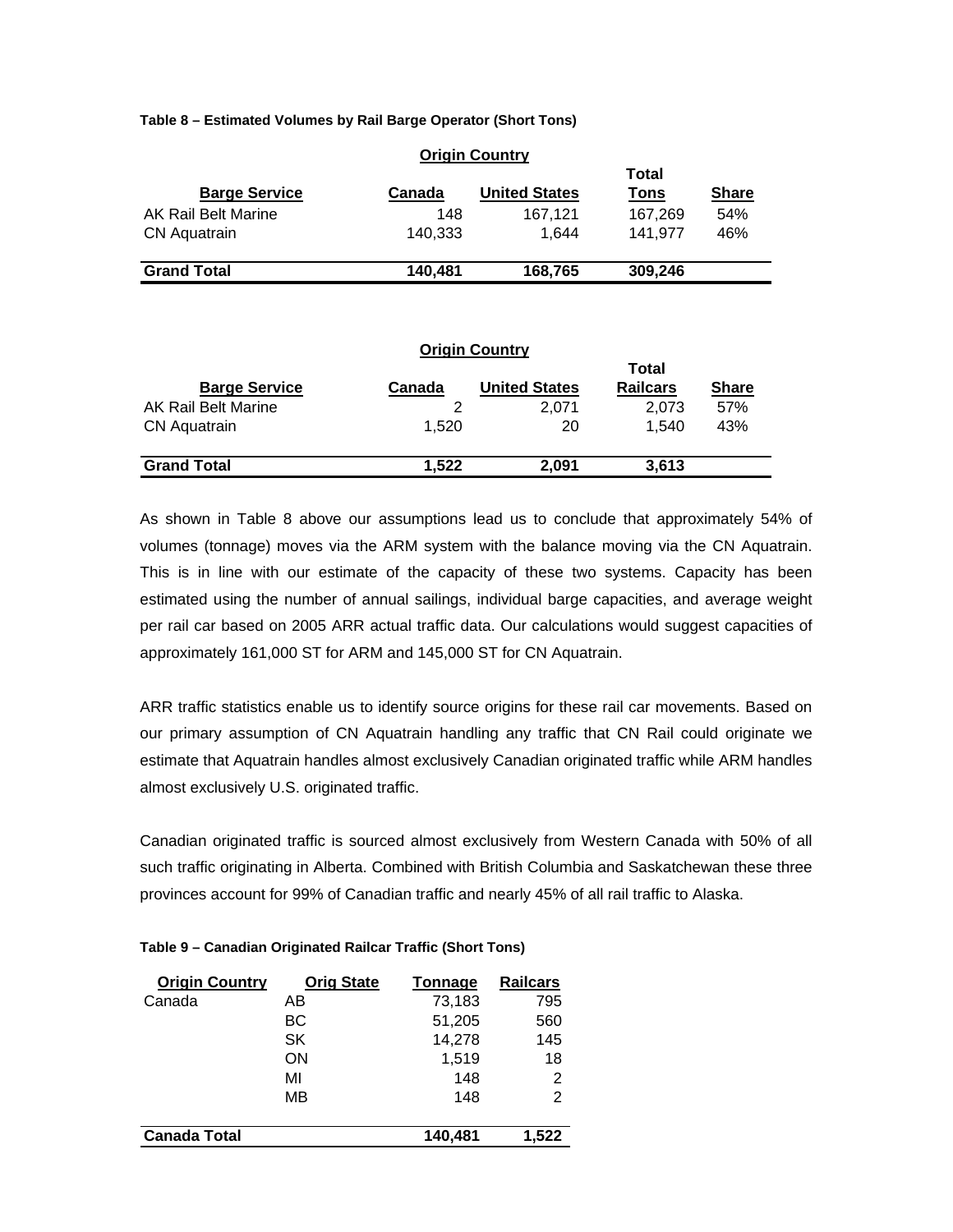**Table 8 – Estimated Volumes by Rail Barge Operator (Short Tons)** 

| <b>Barge Service</b> | Canada  | VIIMIII VVUIIU Y<br><b>United States</b> | Total<br>Tons | <b>Share</b> |
|----------------------|---------|------------------------------------------|---------------|--------------|
| AK Rail Belt Marine  | 148     | 167.121                                  | 167.269       | 54%          |
| <b>CN Aquatrain</b>  | 140.333 | 1.644                                    | 141.977       | 46%          |
| <b>Grand Total</b>   | 140.481 | 168,765                                  | 309,246       |              |

# **Origin Country**

| <b>Origin Country</b><br>Total<br><b>Barge Service</b><br><b>United States</b><br><b>Railcars</b><br><b>Share</b><br>Canada |       |       |       |     |  |  |  |  |
|-----------------------------------------------------------------------------------------------------------------------------|-------|-------|-------|-----|--|--|--|--|
| AK Rail Belt Marine                                                                                                         | 2     | 2.071 | 2.073 | 57% |  |  |  |  |
| <b>CN</b> Aquatrain                                                                                                         | 1.520 | 20    | 1.540 | 43% |  |  |  |  |
| <b>Grand Total</b>                                                                                                          | 1.522 | 2.091 | 3.613 |     |  |  |  |  |

As shown in Table 8 above our assumptions lead us to conclude that approximately 54% of volumes (tonnage) moves via the ARM system with the balance moving via the CN Aquatrain. This is in line with our estimate of the capacity of these two systems. Capacity has been estimated using the number of annual sailings, individual barge capacities, and average weight per rail car based on 2005 ARR actual traffic data. Our calculations would suggest capacities of approximately 161,000 ST for ARM and 145,000 ST for CN Aquatrain.

ARR traffic statistics enable us to identify source origins for these rail car movements. Based on our primary assumption of CN Aquatrain handling any traffic that CN Rail could originate we estimate that Aquatrain handles almost exclusively Canadian originated traffic while ARM handles almost exclusively U.S. originated traffic.

Canadian originated traffic is sourced almost exclusively from Western Canada with 50% of all such traffic originating in Alberta. Combined with British Columbia and Saskatchewan these three provinces account for 99% of Canadian traffic and nearly 45% of all rail traffic to Alaska.

| <b>Origin Country</b> | <b>Orig State</b> | <b>Tonnage</b> | <b>Railcars</b> |
|-----------------------|-------------------|----------------|-----------------|
| Canada                | AΒ                | 73,183         | 795             |
|                       | BС                | 51,205         | 560             |
|                       | SK                | 14,278         | 145             |
|                       | ON                | 1,519          | 18              |
|                       | MI                | 148            | 2               |
|                       | MВ                | 148            | 2               |
| <b>Canada Total</b>   |                   | 140,481        | 1,522           |

#### **able 9 – Canadian Originated Railcar Traffic (Short Tons) T**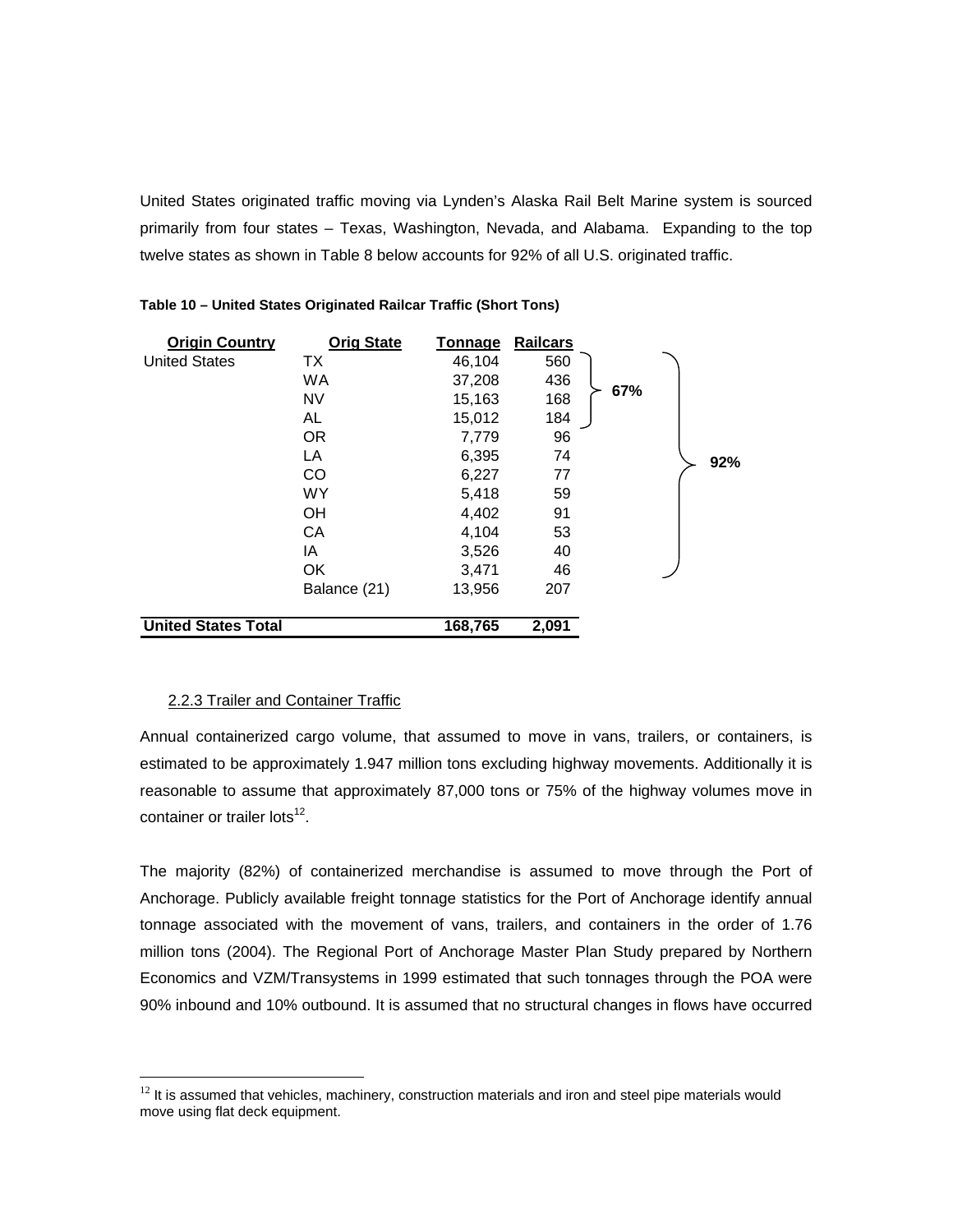<span id="page-19-0"></span>United States originated traffic moving via Lynden's Alaska Rail Belt Marine system is sourced primarily from four states – Texas, Washington, Nevada, and Alabama. Expanding to the top twelve states as shown in Table 8 below accounts for 92% of all U.S. originated traffic.

| <b>Origin Country</b>      | <b>Orig State</b> | Tonnage | <b>Railcars</b> |     |     |
|----------------------------|-------------------|---------|-----------------|-----|-----|
| <b>United States</b>       | ТX                | 46,104  | 560             |     |     |
|                            | <b>WA</b>         | 37,208  | 436             |     |     |
|                            | <b>NV</b>         | 15,163  | 168             | 67% |     |
|                            | AL                | 15,012  | 184             |     |     |
|                            | OR.               | 7,779   | 96              |     |     |
|                            | LA                | 6,395   | 74              |     | 92% |
|                            | CO                | 6,227   | 77              |     |     |
|                            | <b>WY</b>         | 5,418   | 59              |     |     |
|                            | <b>OH</b>         | 4,402   | 91              |     |     |
|                            | CA                | 4,104   | 53              |     |     |
|                            | IA                | 3,526   | 40              |     |     |
|                            | <b>OK</b>         | 3,471   | 46              |     |     |
|                            | Balance (21)      | 13,956  | 207             |     |     |
| <b>United States Total</b> |                   | 168,765 | 2,091           |     |     |

#### 2.2.3 Trailer and Container Traffic

 $\overline{a}$ 

Annual containerized cargo volume, that assumed to move in vans, trailers, or containers, is estimated to be approximately 1.947 million tons excluding highway movements. Additionally it is reasonable to assume that approximately 87,000 tons or 75% of the highway volumes move in container or trailer lots<sup>12</sup>.

The majority (82%) of containerized merchandise is assumed to move through the Port of Anchorage. Publicly available freight tonnage statistics for the Port of Anchorage identify annual tonnage associated with the movement of vans, trailers, and containers in the order of 1.76 million tons (2004). The Regional Port of Anchorage Master Plan Study prepared by Northern Economics and VZM/Transystems in 1999 estimated that such tonnages through the POA were 90% inbound and 10% outbound. It is assumed that no structural changes in flows have occurred

<span id="page-19-1"></span> $12$  It is assumed that vehicles, machinery, construction materials and iron and steel pipe materials would move using flat deck equipment.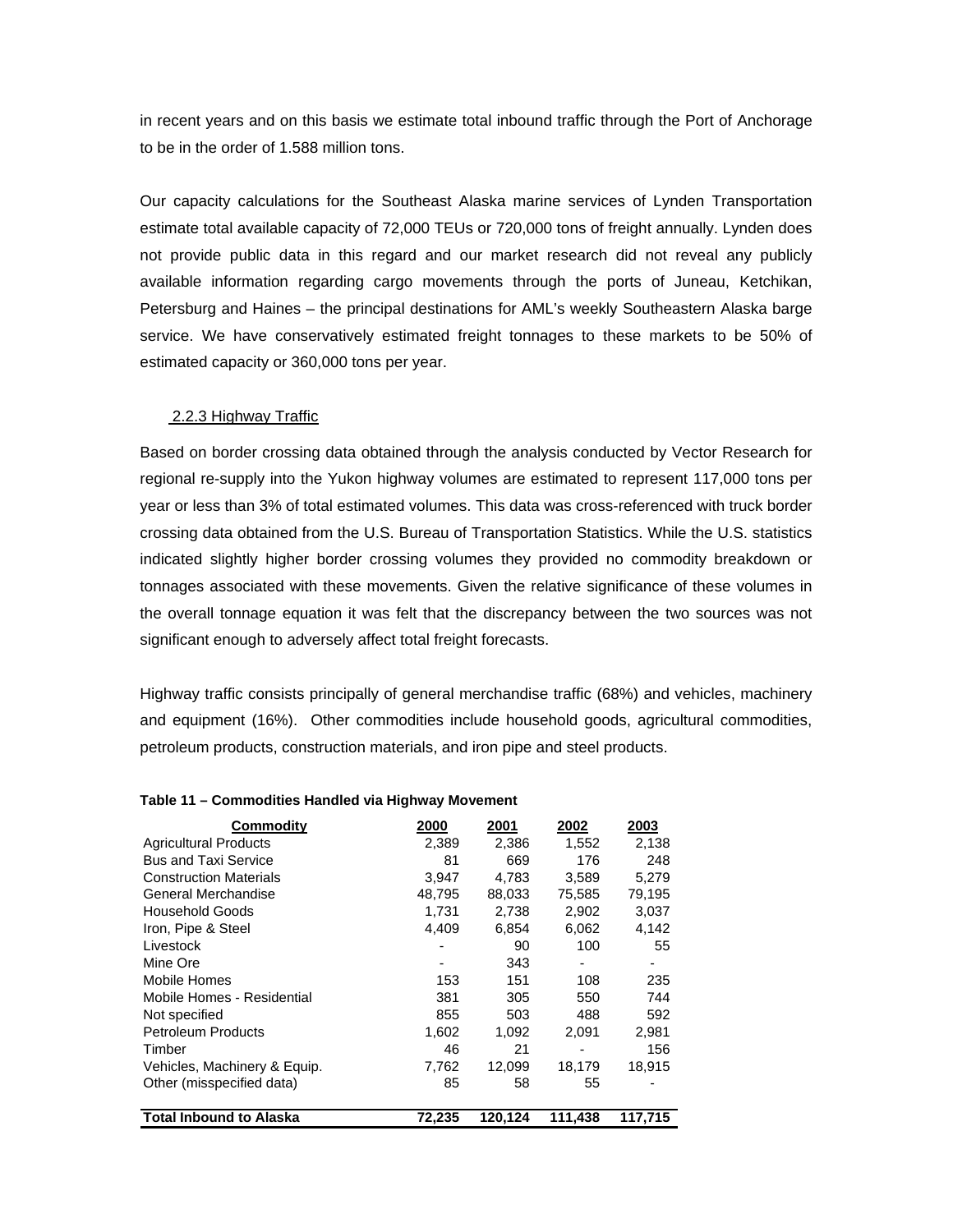<span id="page-20-0"></span>in recent years and on this basis we estimate total inbound traffic through the Port of Anchorage to be in the order of 1.588 million tons.

Our capacity calculations for the Southeast Alaska marine services of Lynden Transportation estimate total available capacity of 72,000 TEUs or 720,000 tons of freight annually. Lynden does not provide public data in this regard and our market research did not reveal any publicly available information regarding cargo movements through the ports of Juneau, Ketchikan, Petersburg and Haines – the principal destinations for AML's weekly Southeastern Alaska barge service. We have conservatively estimated freight tonnages to these markets to be 50% of estimated capacity or 360,000 tons per year.

#### 2.2.3 Highway Traffic

Based on border crossing data obtained through the analysis conducted by Vector Research for regional re-supply into the Yukon highway volumes are estimated to represent 117,000 tons per year or less than 3% of total estimated volumes. This data was cross-referenced with truck border crossing data obtained from the U.S. Bureau of Transportation Statistics. While the U.S. statistics indicated slightly higher border crossing volumes they provided no commodity breakdown or tonnages associated with these movements. Given the relative significance of these volumes in the overall tonnage equation it was felt that the discrepancy between the two sources was not significant enough to adversely affect total freight forecasts.

Highway traffic consists principally of general merchandise traffic (68%) and vehicles, machinery and equipment (16%). Other commodities include household goods, agricultural commodities, petroleum products, construction materials, and iron pipe and steel products.

| Commodity                      | 2000   | 2001    | 2002    | 2003    |
|--------------------------------|--------|---------|---------|---------|
| <b>Agricultural Products</b>   | 2,389  | 2,386   | 1,552   | 2,138   |
| <b>Bus and Taxi Service</b>    | 81     | 669     | 176     | 248     |
| <b>Construction Materials</b>  | 3,947  | 4,783   | 3,589   | 5,279   |
| General Merchandise            | 48.795 | 88.033  | 75.585  | 79.195  |
| <b>Household Goods</b>         | 1.731  | 2,738   | 2,902   | 3,037   |
| Iron, Pipe & Steel             | 4,409  | 6,854   | 6,062   | 4,142   |
| Livestock                      |        | 90      | 100     | 55      |
| Mine Ore                       |        | 343     |         |         |
| Mobile Homes                   | 153    | 151     | 108     | 235     |
| Mobile Homes - Residential     | 381    | 305     | 550     | 744     |
| Not specified                  | 855    | 503     | 488     | 592     |
| <b>Petroleum Products</b>      | 1,602  | 1,092   | 2,091   | 2,981   |
| Timber                         | 46     | 21      |         | 156     |
| Vehicles, Machinery & Equip.   | 7,762  | 12,099  | 18,179  | 18,915  |
| Other (misspecified data)      | 85     | 58      | 55      |         |
| <b>Total Inbound to Alaska</b> | 72,235 | 120,124 | 111,438 | 117.715 |

#### **Table 11 – Commodities Handled via Highway Movement**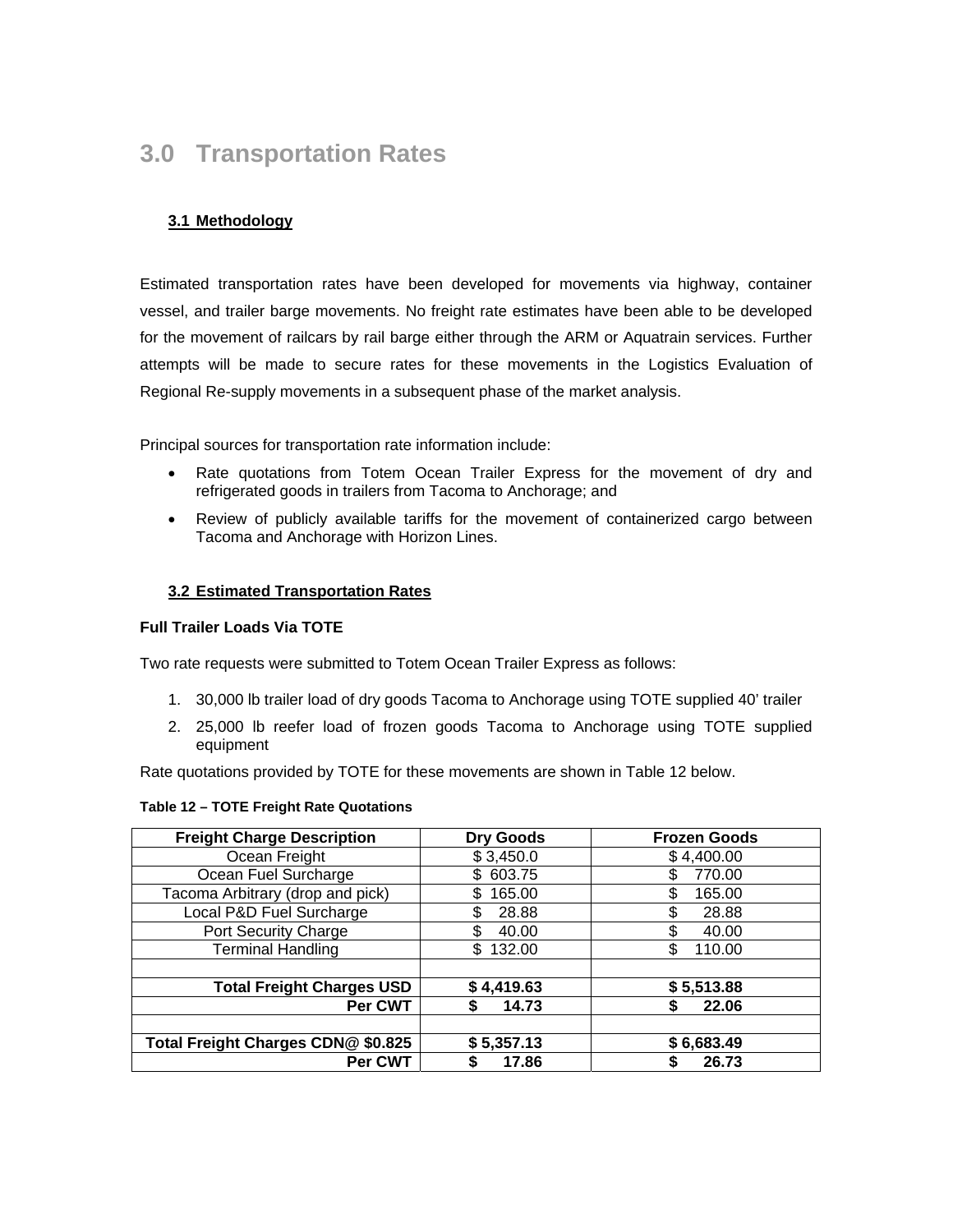# <span id="page-21-0"></span>**3.0 Transportation Rates**

# **3.1 Methodology**

Estimated transportation rates have been developed for movements via highway, container vessel, and trailer barge movements. No freight rate estimates have been able to be developed for the movement of railcars by rail barge either through the ARM or Aquatrain services. Further attempts will be made to secure rates for these movements in the Logistics Evaluation of Regional Re-supply movements in a subsequent phase of the market analysis.

Principal sources for transportation rate information include:

- Rate quotations from Totem Ocean Trailer Express for the movement of dry and refrigerated goods in trailers from Tacoma to Anchorage; and
- Review of publicly available tariffs for the movement of containerized cargo between Tacoma and Anchorage with Horizon Lines.

#### **3.2 Estimated Transportation Rates**

#### **Full Trailer Loads Via TOTE**

Two rate requests were submitted to Totem Ocean Trailer Express as follows:

- 1. 30,000 lb trailer load of dry goods Tacoma to Anchorage using TOTE supplied 40' trailer
- 2. 25,000 lb reefer load of frozen goods Tacoma to Anchorage using TOTE supplied equipment

Rate quotations provided by TOTE for these movements are shown in Table 12 below.

#### **Tab 2 le 1 – TOTE Freight Rate Quotations**

| <b>Freight Charge Description</b>  | <b>Dry Goods</b> | <b>Frozen Goods</b> |
|------------------------------------|------------------|---------------------|
| Ocean Freight                      | \$3,450.0        | \$4,400.00          |
| Ocean Fuel Surcharge               | 603.75<br>S.     | 770.00              |
| Tacoma Arbitrary (drop and pick)   | 165.00<br>\$     | \$<br>165.00        |
| Local P&D Fuel Surcharge           | 28.88            | 28.88<br>\$         |
| Port Security Charge               | 40.00            | \$<br>40.00         |
| <b>Terminal Handling</b>           | \$.<br>132.00    | \$<br>110.00        |
|                                    |                  |                     |
| <b>Total Freight Charges USD</b>   | \$4,419.63       | \$5,513.88          |
| Per CWT                            | 14.73            | 22.06<br>S          |
|                                    |                  |                     |
| Total Freight Charges CDN@ \$0.825 | \$5,357.13       | \$6,683.49          |
| Per CWT                            | 17.86            | 26.73               |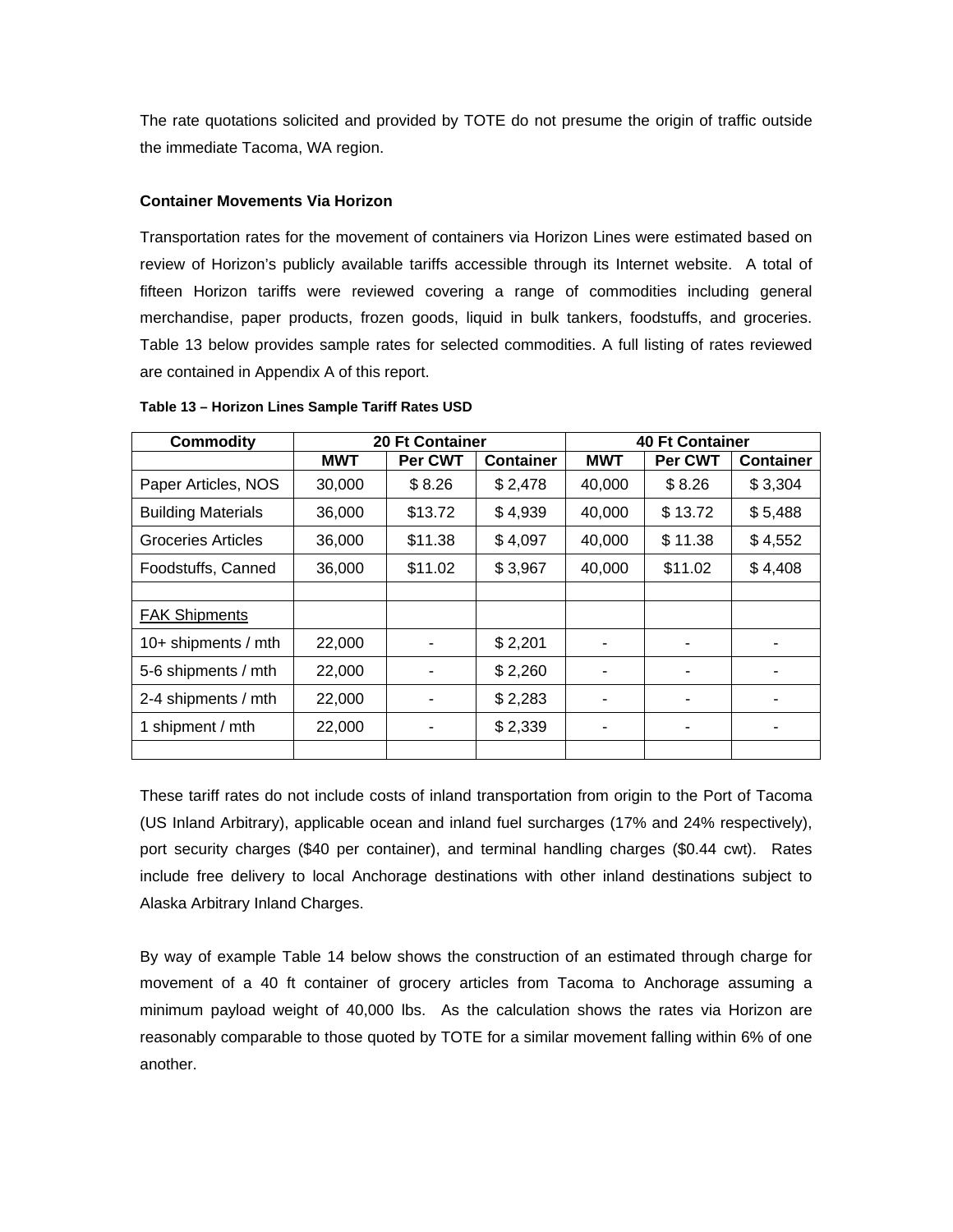<span id="page-22-0"></span>The rate quotations solicited and provided by TOTE do not presume the origin of traffic outside the immediate Tacoma, WA region.

## **Container Movements Via Horizon**

review of Horizon's publicly available tariffs accessible through its Internet website. A total of fifteen Horizon tariffs were reviewed covering a range of commodities including general merchandise, paper products, frozen goods, liquid in bulk tankers, foodstuffs, and groceries. Table 13 below provides sample rates for selected commodities. A full listing of rates reviewed Transportation rates for the movement of containers via Horizon Lines were estimated based on are contained in Appendix A of this report.

| <b>Commodity</b>          |            | <b>20 Ft Container</b> | <b>40 Ft Container</b> |                   |         |                  |
|---------------------------|------------|------------------------|------------------------|-------------------|---------|------------------|
|                           | <b>MWT</b> | Per CWT                | <b>Container</b>       | <b>MWT</b>        | Per CWT | <b>Container</b> |
| Paper Articles, NOS       | 30,000     | \$8.26                 | \$2,478                | 40,000            | \$8.26  | \$3,304          |
| <b>Building Materials</b> | 36,000     | \$13.72                | \$4,939                | 40,000            | \$13.72 | \$5,488          |
| Groceries Articles        | 36,000     | \$11.38                | \$4,097                | 40,000<br>\$11.38 |         | \$4,552          |
| Foodstuffs, Canned        | 36,000     | \$11.02                | \$3,967<br>40,000      |                   | \$11.02 | \$4,408          |
|                           |            |                        |                        |                   |         |                  |
| FAK Shipments             |            |                        |                        |                   |         |                  |
| 10+ shipments / mth       | 22,000     | ۰                      | \$2,201                |                   |         |                  |
| 5-6 shipments / mth       | 22,000     |                        | \$2,260                |                   |         |                  |
| 2-4 shipments / mth       | 22,000     | ٠                      | \$2,283                |                   | ۰       |                  |
| 1 shipment / mth          | 22,000     | ۰                      | \$2,339                |                   |         |                  |
|                           |            |                        |                        |                   |         |                  |

**Table 13 – Horizon Lines Sample Tariff Rates USD**

These tariff rates do not include costs of inland transportation from origin to the Port of Tacoma (US Inland Arbitrary), applicable ocean and inland fuel surcharges (17% and 24% respectively), port security charges (\$40 per container), and terminal handling charges (\$0.44 cwt). Rates include free delivery to local Anchorage destinations with other inland destinations subject to Alaska Arbitrary Inland Charges.

reasonably comparable to those quoted by TOTE for a similar movement falling within 6% of one another. By way of example Table 14 below shows the construction of an estimated through charge for movement of a 40 ft container of grocery articles from Tacoma to Anchorage assuming a minimum payload weight of 40,000 lbs. As the calculation shows the rates via Horizon are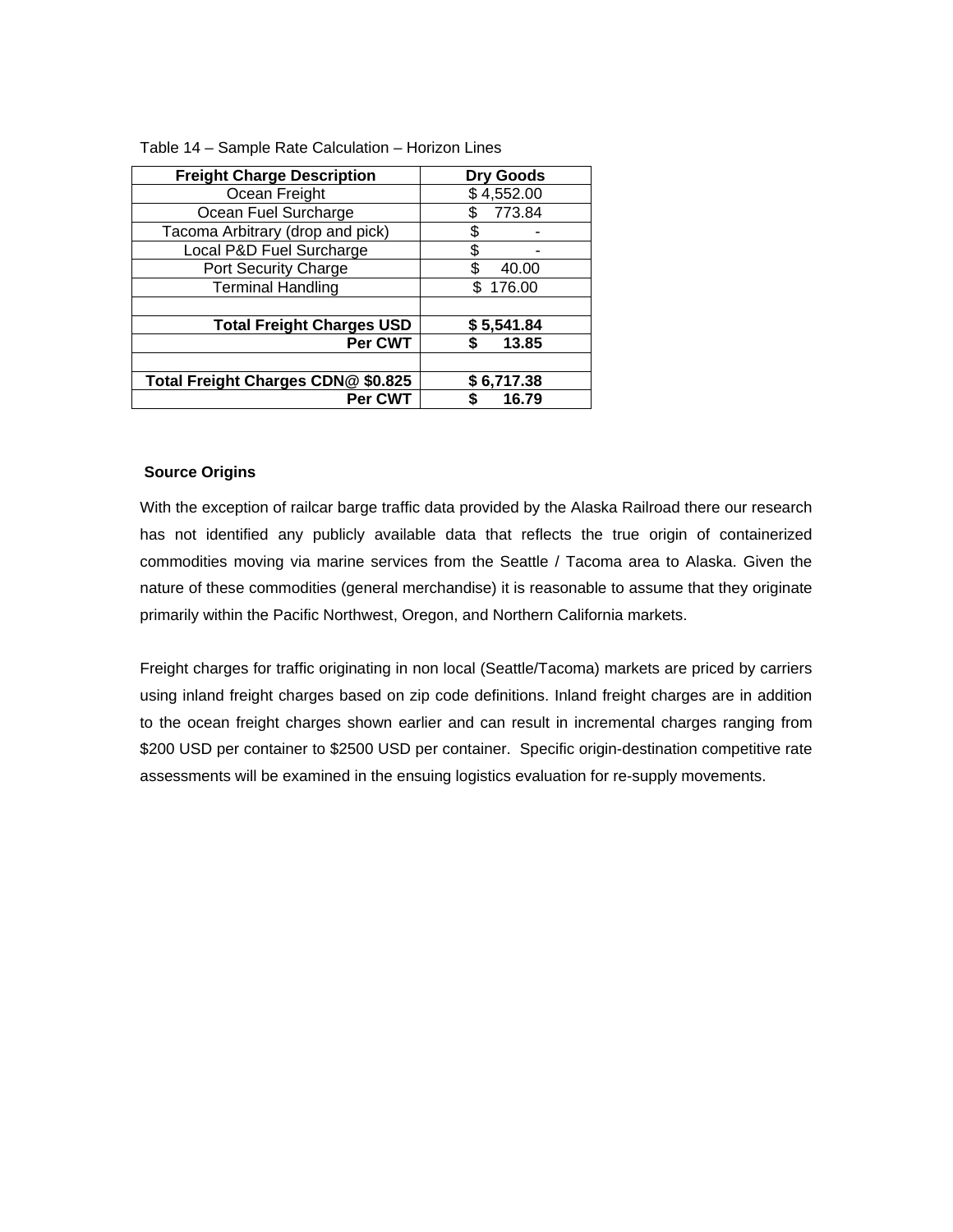| <b>Freight Charge Description</b>  | <b>Dry Goods</b> |
|------------------------------------|------------------|
| Ocean Freight                      | \$4,552.00       |
| Ocean Fuel Surcharge               | 773.84<br>\$.    |
| Tacoma Arbitrary (drop and pick)   | \$               |
| Local P&D Fuel Surcharge           | S                |
| Port Security Charge               | S<br>40.00       |
| <b>Terminal Handling</b>           | 176.00<br>\$     |
|                                    |                  |
| <b>Total Freight Charges USD</b>   | \$5,541.84       |
| Per CWT                            | 13.85<br>S       |
|                                    |                  |
| Total Freight Charges CDN@ \$0.825 | \$6,717.38       |
| Per CWT                            | 16.79<br>\$      |

Table 14 – Sample Rate Calculation – Horizon Lines

#### **Source Origins**

With the exception of railcar barge traffic data provided by the Alaska Railroad there our research has not identified any publicly available data that reflects the true origin of containerized commodities moving via marine services from the Seattle / Tacoma area to Alaska. Given the nature of these commodities (general merchandise) it is reasonable to assume that they originate primarily within the Pacific Northwest, Oregon, and Northern California markets.

assessments will be examined in the ensuing logistics evaluation for re-supply movements. Freight charges for traffic originating in non local (Seattle/Tacoma) markets are priced by carriers using inland freight charges based on zip code definitions. Inland freight charges are in addition to the ocean freight charges shown earlier and can result in incremental charges ranging from \$200 USD per container to \$2500 USD per container. Specific origin-destination competitive rate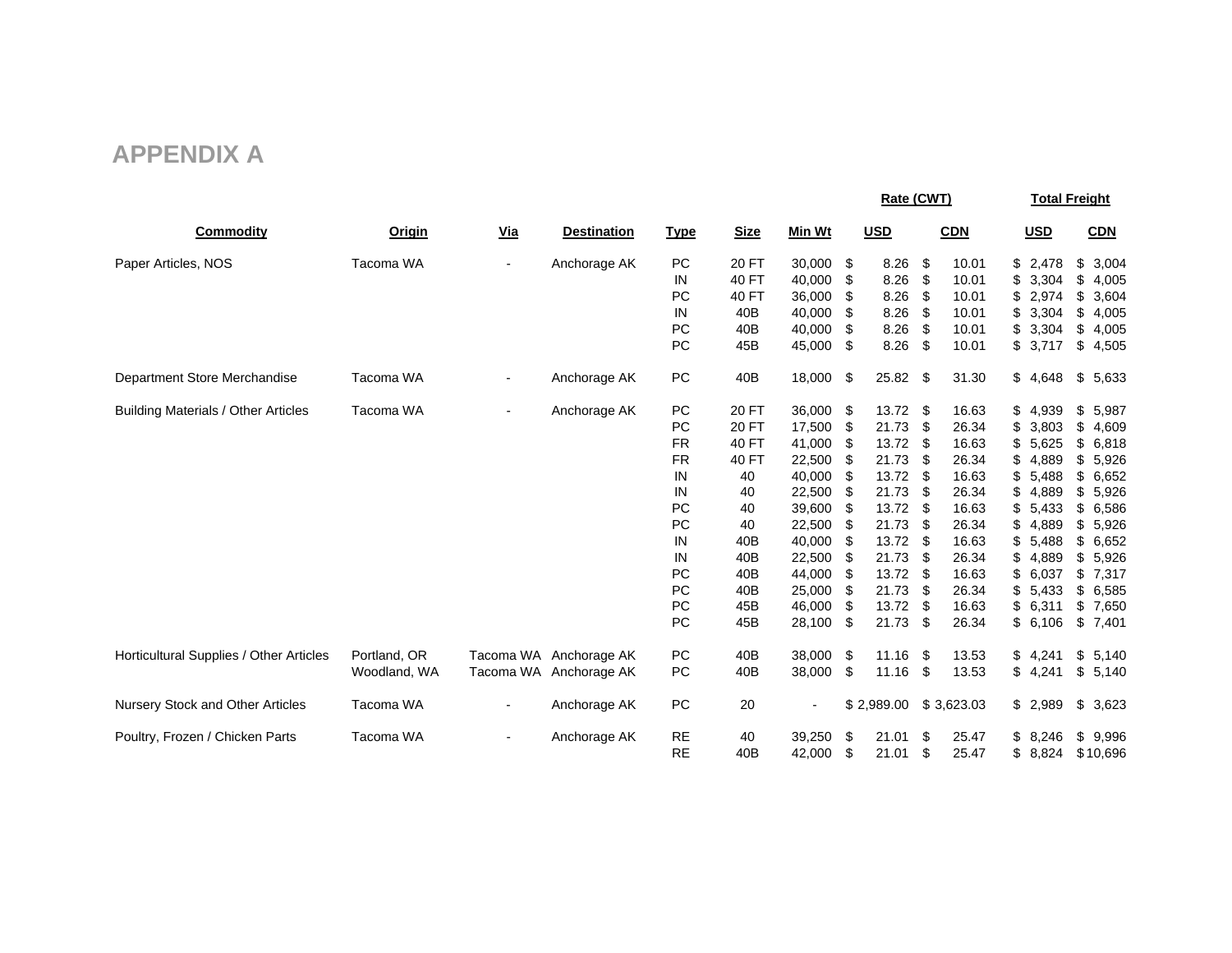# **APPENDIX A**

<span id="page-24-0"></span>

|                                            |              |            |                        |             |             |        | Rate (CWT) |            |      |            | <b>Total Freight</b> |            |    |            |
|--------------------------------------------|--------------|------------|------------------------|-------------|-------------|--------|------------|------------|------|------------|----------------------|------------|----|------------|
| <b>Commodity</b>                           | Origin       | <u>Via</u> | <b>Destination</b>     | <b>Type</b> | <b>Size</b> | Min Wt |            | <u>USD</u> |      | <b>CDN</b> |                      | <u>USD</u> |    | <b>CDN</b> |
| Paper Articles, NOS                        | Tacoma WA    |            | Anchorage AK           | PC          | 20 FT       | 30,000 | \$         | 8.26       | \$   | 10.01      | \$                   | 2,478      | \$ | 3,004      |
|                                            |              |            |                        | IN          | 40 FT       | 40,000 | \$         | 8.26       | \$   | 10.01      | \$                   | 3,304      | \$ | 4,005      |
|                                            |              |            |                        | PC          | 40 FT       | 36,000 | \$         | 8.26       | \$   | 10.01      | \$                   | 2,974      | \$ | 3,604      |
|                                            |              |            |                        | IN          | 40B         | 40,000 | \$         | 8.26       | \$   | 10.01      | \$                   | 3,304      | \$ | 4,005      |
|                                            |              |            |                        | PC          | 40B         | 40,000 | \$         | 8.26       | \$   | 10.01      | \$                   | 3,304      | \$ | 4,005      |
|                                            |              |            |                        | PC          | 45B         | 45,000 | \$         | 8.26       | -\$  | 10.01      |                      | \$3,717    | \$ | 4,505      |
| Department Store Merchandise               | Tacoma WA    |            | Anchorage AK           | PC          | 40B         | 18,000 | -\$        | $25.82$ \$ |      | 31.30      |                      | \$4,648    | \$ | 5,633      |
| <b>Building Materials / Other Articles</b> | Tacoma WA    |            | Anchorage AK           | PC          | 20 FT       | 36,000 | \$         | $13.72$ \$ |      | 16.63      |                      | \$4,939    | \$ | 5,987      |
|                                            |              |            |                        | PC          | 20 FT       | 17,500 | \$         | 21.73      | \$   | 26.34      | \$                   | 3,803      | \$ | 4,609      |
|                                            |              |            |                        | <b>FR</b>   | 40 FT       | 41,000 | \$         | 13.72      | -\$  | 16.63      | \$                   | 5,625      | \$ | 6,818      |
|                                            |              |            |                        | <b>FR</b>   | 40 FT       | 22,500 | \$         | 21.73      | \$   | 26.34      | \$                   | 4,889      | \$ | 5,926      |
|                                            |              |            |                        | IN          | 40          | 40,000 | \$         | 13.72      | -\$  | 16.63      | \$                   | 5,488      | \$ | 6,652      |
|                                            |              |            |                        | IN          | 40          | 22,500 | \$         | 21.73      | \$   | 26.34      | \$                   | 4,889      | \$ | 5,926      |
|                                            |              |            |                        | PC          | 40          | 39,600 | S          | 13.72      | \$   | 16.63      |                      | 5,433      | \$ | 6,586      |
|                                            |              |            |                        | PC          | 40          | 22,500 | S          | 21.73      | \$   | 26.34      |                      | 4,889      | \$ | 5,926      |
|                                            |              |            |                        | IN          | 40B         | 40,000 | S          | 13.72 \$   |      | 16.63      | \$                   | 5,488      | \$ | 6,652      |
|                                            |              |            |                        | IN          | 40B         | 22,500 | \$         | 21.73      | \$   | 26.34      |                      | 4,889      | \$ | 5,926      |
|                                            |              |            |                        | PC          | 40B         | 44,000 | \$         | 13.72      | -\$  | 16.63      |                      | 6,037      | \$ | 7,317      |
|                                            |              |            |                        | PC          | 40B         | 25,000 | \$         | 21.73      | \$   | 26.34      | \$                   | 5,433      | \$ | 6,585      |
|                                            |              |            |                        | PC          | 45B         | 46,000 | \$         | 13.72      | -\$  | 16.63      |                      | \$6,311    | \$ | 7,650      |
|                                            |              |            |                        | PC          | 45B         | 28,100 | \$         | 21.73      | \$   | 26.34      |                      | \$6,106    | \$ | 7,401      |
| Horticultural Supplies / Other Articles    | Portland, OR |            | Tacoma WA Anchorage AK | PC          | 40B         | 38,000 | \$         | 11.16      | - \$ | 13.53      |                      | \$4,241    | \$ | 5,140      |
|                                            | Woodland, WA |            | Tacoma WA Anchorage AK | PC          | 40B         | 38,000 | \$         | 11.16      | -\$  | 13.53      |                      | \$4,241    | \$ | 5,140      |
| <b>Nursery Stock and Other Articles</b>    | Tacoma WA    |            | Anchorage AK           | PC          | 20          |        |            | \$2,989.00 |      | \$3,623.03 |                      | \$2,989    | \$ | 3,623      |
| Poultry, Frozen / Chicken Parts            | Tacoma WA    |            | Anchorage AK           | <b>RE</b>   | 40          | 39,250 | \$         | 21.01      | \$   | 25.47      |                      | \$8,246    | \$ | 9,996      |
|                                            |              |            |                        | <b>RE</b>   | 40B         | 42,000 | \$         | 21.01      | \$   | 25.47      | \$                   | 8.824      |    | \$10,696   |